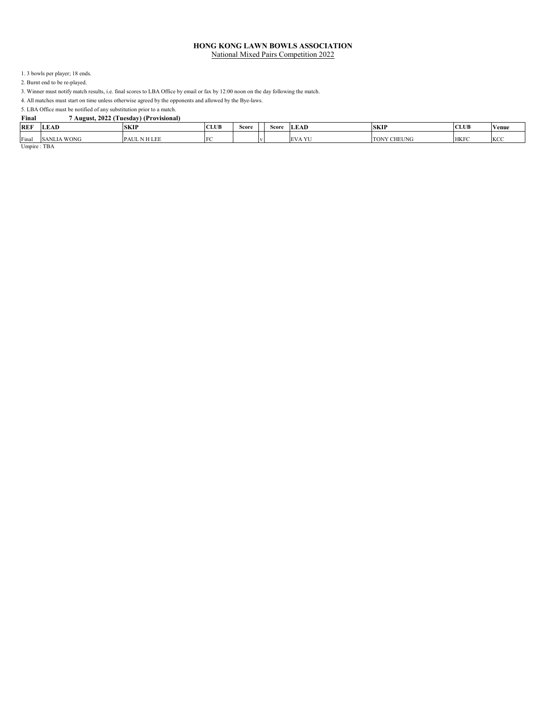1. 3 bowls per player; 18 ends.

2. Burnt end to be re-played.

3. Winner must notify match results, i.e. final scores to LBA Office by email or fax by 12:00 noon on the day following the match.

4. All matches must start on time unless otherwise agreed by the opponents and allowed by the Bye-laws.

5. LBA Office must be notified of any substitution prior to a match.<br>Final 7 August. 2022 (Tuesday) (Provisional

| <b>REF</b><br><b>LEAD</b><br><b>CLUB</b><br><b>SKIP</b><br><b>LEAD</b><br>$\sim$ $\sim$<br><b>Score</b><br>Score | <b>CLUB</b><br><b>SKIP</b><br>Venue |  |
|------------------------------------------------------------------------------------------------------------------|-------------------------------------|--|
| Final<br><b>VI</b><br>A WONG<br>EV<br>NHLEE<br><b>SANLIA</b><br>PAU                                              | <b>HKFC</b><br>KC<br><b>CHEUNG</b>  |  |

Umpire : TBA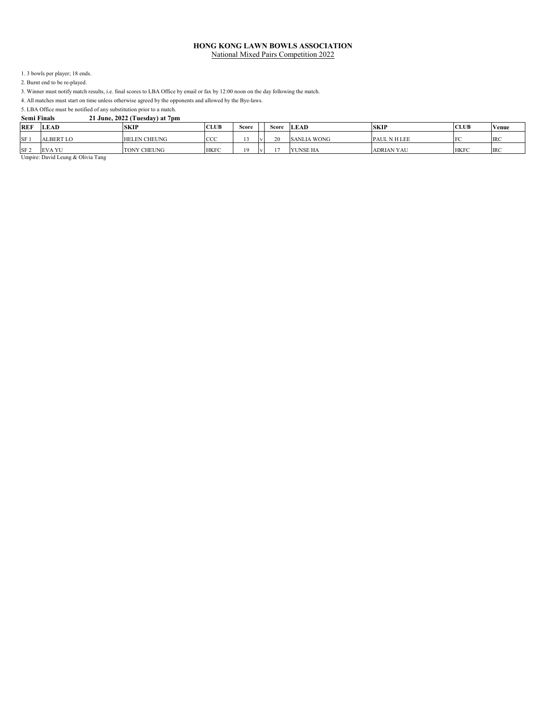1. 3 bowls per player; 18 ends.

2. Burnt end to be re-played.

3. Winner must notify match results, i.e. final scores to LBA Office by email or fax by 12:00 noon on the day following the match.

4. All matches must start on time unless otherwise agreed by the opponents and allowed by the Bye-laws.

5. LBA Office must be notified of any substitution prior to a match.

| <b>Semi Finals</b> |  |  | 21 June, 2022 (Tuesday) at 7pm |
|--------------------|--|--|--------------------------------|
|                    |  |  |                                |

| <b>REF</b>      | <b>LEAD</b>      | <b>SKIP</b>             | <b>CLUB</b> | Score | Score | <b>LEAD</b>        | <b>SKIP</b>         | <b>CLUB</b> | Venue      |
|-----------------|------------------|-------------------------|-------------|-------|-------|--------------------|---------------------|-------------|------------|
| SF <sub>1</sub> | <b>ALBERT LO</b> | LEN CHEUNG<br><b>HE</b> | CCC         |       | 20    | <b>SANLIA WONG</b> | <b>PAUL N H LEE</b> | E           | <b>IRC</b> |
| SF <sub>2</sub> | <b>EVA YU</b>    | <b>TONY CHEUNG</b>      | <b>HKFC</b> |       | - -   | YUNSE HA           | <b>ADRIAN YAU</b>   | <b>HKFC</b> | <b>IRC</b> |

Umpire: David Leung & Olivia Tang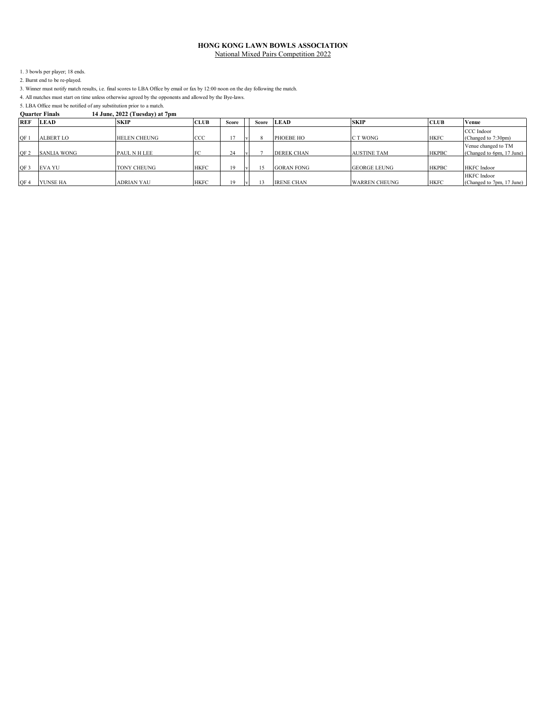1. 3 bowls per player; 18 ends.

2. Burnt end to be re-played.

3. Winner must notify match results, i.e. final scores to LBA Office by email or fax by 12:00 noon on the day following the match.

4. All matches must start on time unless otherwise agreed by the opponents and allowed by the Bye-laws.

5. LBA Office must be notified of any substitution prior to a match.<br>**Ouarter Finals** 14 June, 2022 (Tuesday) at **Quarter Finals 14 June, 2022 (Tuesday) at 7pm**

| <b>REF</b>      | <b>LEAD</b>        | <b>SKIP</b>         | <b>CLUB</b> | Score        | <b>Score</b> | <b>LEAD</b>       | <b>SKIP</b>          | <b>CLUB</b>  | <b>Venue</b>                                     |
|-----------------|--------------------|---------------------|-------------|--------------|--------------|-------------------|----------------------|--------------|--------------------------------------------------|
| OF 1            | <b>ALBERT LO</b>   | <b>HELEN CHEUNG</b> | <b>CCC</b>  |              |              | PHOEBE HO         | C T WONG             | <b>HKFC</b>  | CCC Indoor<br>(Changed to 7:30pm)                |
| OF <sub>2</sub> | <b>SANLIA WONG</b> | <b>PAUL N H LEE</b> |             | $\sim$<br>24 |              | <b>DEREK CHAN</b> | <b>AUSTINE TAM</b>   | <b>HKPBC</b> | Venue changed to TM<br>(Changed to 6pm, 17 June) |
| OF 3            | <b>EVA YU</b>      | TONY CHEUNG         | <b>HKFC</b> | 19           |              | <b>GORAN FONG</b> | <b>GEORGE LEUNG</b>  | <b>HKPBC</b> | HKFC Indoor                                      |
| QF4             | YUNSE HA           | ADRIAN YAU          | <b>HKFC</b> | 19           |              | <b>IRENE CHAN</b> | <b>WARREN CHEUNG</b> | <b>HKFC</b>  | HKFC Indoor<br>(Changed to 7pm, 17 June)         |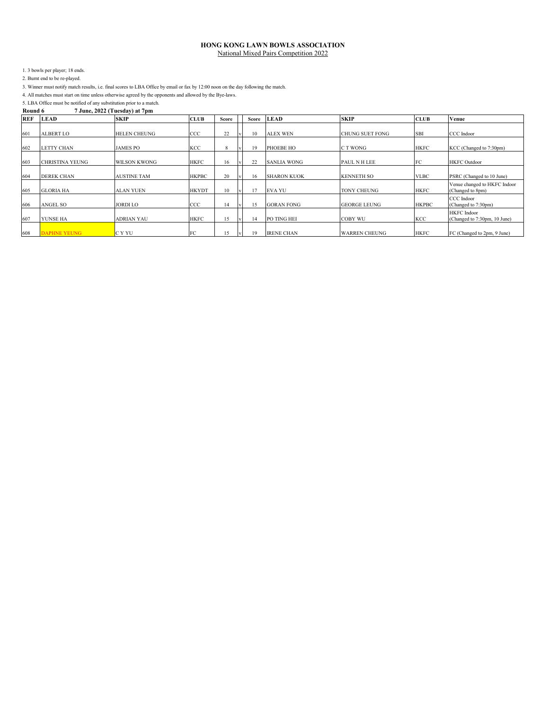1. 3 bowls per player; 18 ends.

2. Burnt end to be re-played.

3. Winner must notify match results, i.e. final scores to LBA Office by email or fax by 12:00 noon on the day following the match.

4. All matches must start on time unless otherwise agreed by the opponents and allowed by the Bye-laws.

5. LBA Office must be notified of any substitution prior to a match.<br>Round 6  $7 \text{ June}$ , 2022 (Tuesday) at  $7 \text{ pm}$ **Round 6 7 June, 2022 (Tuesday) at 7pm**

| <b>REF</b> | <b>LEAD</b>            | . .<br><b>SKIP</b>  | <b>CLUB</b>  | Score | Score | <b>LEAD</b>        | <b>SKIP</b>            | <b>CLUB</b>  | Venue                                              |
|------------|------------------------|---------------------|--------------|-------|-------|--------------------|------------------------|--------------|----------------------------------------------------|
| 601        | <b>ALBERT LO</b>       | <b>HELEN CHEUNG</b> | ccc          | 22    | 10    | <b>ALEX WEN</b>    | <b>CHUNG SUET FONG</b> | <b>SBI</b>   | CCC Indoor                                         |
| 602        | <b>LETTY CHAN</b>      | <b>JAMES PO</b>     | KCC          | 8     | 19    | PHOEBE HO          | C T WONG               | <b>HKFC</b>  | KCC (Changed to 7:30pm)                            |
| 603        | <b>CHRISTINA YEUNG</b> | <b>WILSON KWONG</b> | <b>HKFC</b>  | 16    | 22    | <b>SANLIA WONG</b> | PAUL N H LEE           | FC           | <b>HKFC</b> Outdoor                                |
| 604        | <b>DEREK CHAN</b>      | <b>AUSTINE TAM</b>  | <b>HKPBC</b> | 20    | 16.   | <b>SHARON KUOK</b> | <b>KENNETH SO</b>      | <b>VLBC</b>  | PSRC (Changed to 10 June)                          |
| 605        | <b>GLORIA HA</b>       | <b>ALAN YUEN</b>    | <b>HKYDT</b> | 10    |       | <b>EVA YU</b>      | <b>TONY CHEUNG</b>     | <b>HKFC</b>  | Venue changed to HKFC Indoor<br>(Changed to 8pm)   |
| 606        | ANGEL SO               | <b>JORDI LO</b>     | ccc          | 14    | ٤5    | <b>GORAN FONG</b>  | <b>GEORGE LEUNG</b>    | <b>HKPBC</b> | CCC Indoor<br>(Changed to 7:30pm)                  |
| 607        | YUNSE HA               | <b>ADRIAN YAU</b>   | <b>HKFC</b>  | 15    | 14    | PO TING HEI        | <b>COBY WU</b>         | KCC          | <b>HKFC</b> Indoor<br>(Changed to 7:30pm, 10 June) |
| 608        | <b>DAPHNE YEUNG</b>    | C Y YU              | FC           |       |       | <b>IRENE CHAN</b>  | <b>WARREN CHEUNG</b>   | <b>HKFC</b>  | FC (Changed to 2pm, 9 June)                        |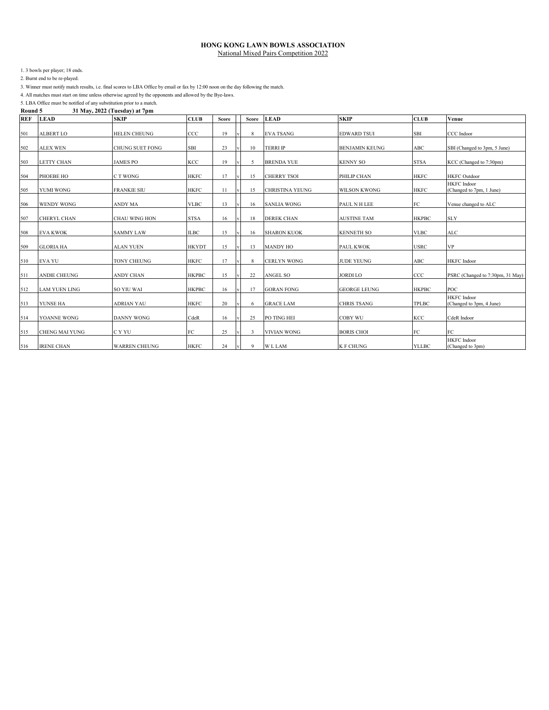1. 3 bowls per player; 18 ends.

2. Burnt end to be re-played.

3. Winner must notify match results, i.e. final scores to LBA Office by email or fax by 12:00 noon on the day following the match.

4. All matches must start on time unless otherwise agreed by the opponents and allowed by the Bye-laws.

5. LBA Office must be notified of any substitution prior to a match.<br>Round 5 31 May, 2022 (Tuesday) at 7pm **Round 5 31 May, 2022 (Tuesday) at 7pm**

| <b>REF</b> | <b>LEAD</b>           | <b>SKIP</b>            | <b>CLUB</b>  | <b>Score</b> | Score                   | <b>LEAD</b>            | <b>SKIP</b>           | <b>CLUB</b>  | Venue                                          |
|------------|-----------------------|------------------------|--------------|--------------|-------------------------|------------------------|-----------------------|--------------|------------------------------------------------|
| 501        | <b>ALBERT LO</b>      | <b>HELEN CHEUNG</b>    | ccc          | 19           | 8                       | <b>EVA TSANG</b>       | <b>EDWARD TSUI</b>    | SBI          | CCC Indoor                                     |
| 502        | <b>ALEX WEN</b>       | <b>CHUNG SUET FONG</b> | SBI          | 23           | 10                      | <b>TERRI IP</b>        | <b>BENJAMIN KEUNG</b> | ABC          | SBI (Changed to 3pm, 5 June)                   |
| 503        | <b>LETTY CHAN</b>     | <b>JAMES PO</b>        | KCC          | 19           | 5                       | <b>BRENDA YUE</b>      | <b>KENNY SO</b>       | <b>STSA</b>  | KCC (Changed to 7:30pm)                        |
| 504        | PHOEBE HO             | C T WONG               | <b>HKFC</b>  | 17           | 15                      | <b>CHERRY TSOI</b>     | PHILIP CHAN           | <b>HKFC</b>  | <b>HKFC</b> Outdoor                            |
| 505        | <b>YUMI WONG</b>      | <b>FRANKIE SIU</b>     | <b>HKFC</b>  | 11           | 15                      | <b>CHRISTINA YEUNG</b> | <b>WILSON KWONG</b>   | <b>HKFC</b>  | <b>HKFC</b> Indoor<br>(Changed to 7pm, 1 June) |
| 506        | <b>WENDY WONG</b>     | <b>ANDY MA</b>         | <b>VLBC</b>  | 13           | 16                      | <b>SANLIA WONG</b>     | PAUL N H LEE          | FC           | Venue changed to ALC                           |
| 507        | <b>CHERYL CHAN</b>    | <b>CHAU WING HON</b>   | <b>STSA</b>  | 16           | 18                      | <b>DEREK CHAN</b>      | <b>AUSTINE TAM</b>    | <b>HKPBC</b> | <b>SLY</b>                                     |
| 508        | <b>EVA KWOK</b>       | <b>SAMMY LAW</b>       | <b>ILBC</b>  | 15           | 16                      | <b>SHARON KUOK</b>     | <b>KENNETH SO</b>     | <b>VLBC</b>  | <b>ALC</b>                                     |
| 509        | <b>GLORIA HA</b>      | <b>ALAN YUEN</b>       | <b>HKYDT</b> | 15           | 13                      | <b>MANDY HO</b>        | <b>PAUL KWOK</b>      | <b>USRC</b>  | <b>VP</b>                                      |
| 510        | <b>EVA YU</b>         | <b>TONY CHEUNG</b>     | <b>HKFC</b>  | 17           | 8                       | <b>CERLYN WONG</b>     | <b>JUDE YEUNG</b>     | ABC          | <b>HKFC</b> Indoor                             |
| 511        | <b>ANDIE CHEUNG</b>   | ANDY CHAN              | <b>HKPBC</b> | 15           | 22                      | ANGEL SO               | <b>JORDI LO</b>       | CCC          | PSRC (Changed to 7:30pm, 31 May)               |
| 512        | <b>LAM YUEN LING</b>  | <b>SO YIU WAI</b>      | <b>HKPBC</b> | 16           | 17                      | <b>GORAN FONG</b>      | <b>GEORGE LEUNG</b>   | <b>HKPBC</b> | POC                                            |
| 513        | YUNSE HA              | <b>ADRIAN YAU</b>      | <b>HKFC</b>  | 20           | 6                       | <b>GRACE LAM</b>       | <b>CHRIS TSANG</b>    | TPLBC        | <b>HKFC</b> Indoor<br>(Changed to 3pm, 4 June) |
| 514        | YOANNE WONG           | <b>DANNY WONG</b>      | CdeR         | 16           | 25                      | PO TING HEI            | <b>COBY WU</b>        | KCC          | CdeR Indoor                                    |
| 515        | <b>CHENG MAI YUNG</b> | C Y YU                 | ${\rm FC}$   | 25           | $\overline{\mathbf{3}}$ | <b>VIVIAN WONG</b>     | <b>BORIS CHOI</b>     | FC           | FC                                             |
| 516        | <b>IRENE CHAN</b>     | <b>WARREN CHEUNG</b>   | <b>HKFC</b>  | 24           | 9                       | <b>WLLAM</b>           | <b>K F CHUNG</b>      | <b>YLLBC</b> | <b>HKFC</b> Indoor<br>(Changed to 3pm)         |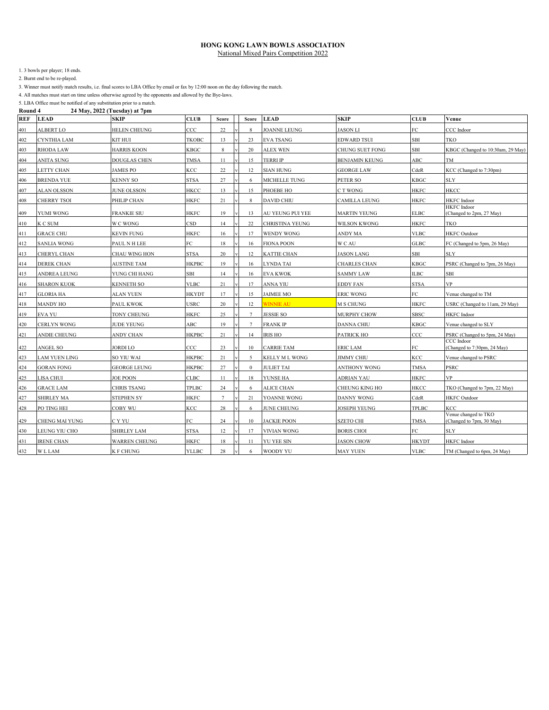1. 3 bowls per player; 18 ends.

2. Burnt end to be re-played.

3. Winner must notify match results, i.e. final scores to LBA Office by email or fax by 12:00 noon on the day following the match.

4. All matches must start on time unless otherwise agreed by the opponents and allowed by the Bye-laws.

| Round 4    |                    | 24 May, 2022 (Tuesday) at 7pm |               |                 |                 |                        |                       |              |                                                  |
|------------|--------------------|-------------------------------|---------------|-----------------|-----------------|------------------------|-----------------------|--------------|--------------------------------------------------|
| <b>REF</b> | <b>LEAD</b>        | <b>SKIP</b>                   | <b>CLUB</b>   | Score           | Score           | <b>LEAD</b>            | <b>SKIP</b>           | <b>CLUB</b>  | Venue                                            |
| 401        | <b>ALBERT LO</b>   | <b>HELEN CHEUNG</b>           | $_{\rm{CCC}}$ | 22              | 8               | <b>JOANNE LEUNG</b>    | <b>JASON LI</b>       | FC           | CCC Indoor                                       |
| 402        | CYNTHIA LAM        | <b>KIT HUI</b>                | <b>TKOBC</b>  | 13              | 23              | <b>EVA TSANG</b>       | <b>EDWARD TSUI</b>    | SBI          | TKO                                              |
| 403        | <b>RHODA LAW</b>   | <b>HARRIS KOON</b>            | <b>KBGC</b>   | 8               | 20              | <b>ALEX WEN</b>        | CHUNG SUET FONG       | <b>SBI</b>   | KBGC (Changed to 10:30am, 29 May)                |
| 404        | <b>ANITA SUNG</b>  | <b>DOUGLAS CHEN</b>           | TMSA          | 11              | 15              | TERRI IP               | <b>BENJAMIN KEUNG</b> | ABC          | <b>TM</b>                                        |
| 405        | LETTY CHAN         | JAMES PO                      | KCC           | 22              | 12              | <b>SIAN HUNG</b>       | <b>GEORGE LAW</b>     | CdeR         | KCC (Changed to 7:30pm)                          |
| 406        | BRENDA YUE         | <b>KENNY SO</b>               | <b>STSA</b>   | 27              | 6               | MICHELLE TUNG          | PETER SO              | <b>KBGC</b>  | <b>SLY</b>                                       |
| 407        | <b>ALAN OLSSON</b> | <b>JUNE OLSSON</b>            | HKCC          | 13              | 15              | PHOEBE HO              | C T WONG              | <b>HKFC</b>  | HKCC                                             |
| 408        | CHERRY TSOI        | PHILIP CHAN                   | <b>HKFC</b>   | 21              | 8               | <b>DAVID CHIU</b>      | <b>CAMILLA LEUNG</b>  | HKFC         | <b>HKFC</b> Indoor                               |
| 409        | YUMI WONG          | <b>FRANKIE SIU</b>            | <b>HKFC</b>   | 19              | 13              | AU YEUNG PUI YEE       | <b>MARTIN YEUNG</b>   | <b>ELBC</b>  | <b>HKFC</b> Indoor<br>(Changed to 2pm, 27 May)   |
| 410        | K C SUM            | W C WONG                      | <b>CSD</b>    | 14              | 22              | <b>CHRISTINA YEUNG</b> | <b>WILSON KWONG</b>   | HKFC         | TKO                                              |
| 411        | <b>GRACE CHU</b>   | <b>KEVIN FUNG</b>             | <b>HKFC</b>   | 16              | 17              | <b>WENDY WONG</b>      | ANDY MA               | <b>VLBC</b>  | <b>HKFC</b> Outdoor                              |
| 412        | <b>SANLIA WONG</b> | PAUL N H LEE                  | FC            | 18              | 16              | <b>FIONA POON</b>      | W C AU                | <b>GLBC</b>  | FC (Changed to 5pm, 26 May)                      |
| 413        | CHERYL CHAN        | CHAU WING HON                 | <b>STSA</b>   | 20              | 12              | <b>KATTIE CHAN</b>     | <b>JASON LANG</b>     | SBI          | <b>SLY</b>                                       |
| 414        | <b>DEREK CHAN</b>  | <b>AUSTINE TAM</b>            | <b>HKPBC</b>  | 19              | 16              | LYNDA TAI              | CHARLES CHAN          | KBGC         | PSRC (Changed to 7pm, 26 May)                    |
| 415        | ANDREA LEUNG       | YUNG CHI HANG                 | SBI           | 14              | 16              | <b>EVA KWOK</b>        | <b>SAMMY LAW</b>      | <b>ILBC</b>  | SBI                                              |
| 416        | <b>SHARON KUOK</b> | <b>KENNETH SO</b>             | <b>VLBC</b>   | 21              | 17              | ANNA YIU               | <b>EDDY FAN</b>       | STSA         | <b>VP</b>                                        |
| 417        | <b>GLORIA HA</b>   | <b>ALAN YUEN</b>              | <b>HKYDT</b>  | 17              | 15              | <b>JAIMEE MO</b>       | <b>ERIC WONG</b>      | FC           | Venue changed to TM                              |
| 418        | <b>MANDY HO</b>    | PAUL KWOK                     | <b>USRC</b>   | 20              | 12              | <b>WINNIE AU</b>       | M S CHUNG             | <b>HKFC</b>  | USRC (Changed to 11am, 29 May)                   |
| 419        | <b>EVA YU</b>      | TONY CHEUNG                   | HKFC          | 25              | $7\phantom{.0}$ | JESSIE SO              | <b>MURPHY CHOW</b>    | <b>SBSC</b>  | <b>HKFC</b> Indoor                               |
| 420        | CERLYN WONG        | <b>JUDE YEUNG</b>             | ABC           | 19              | $7\phantom{.0}$ | <b>FRANK IP</b>        | <b>DANNA CHIU</b>     | KBGC         | Venue changed to SLY                             |
| 421        | ANDIE CHEUNG       | ANDY CHAN                     | <b>HKPBC</b>  | 21              | 14              | <b>IRIS HO</b>         | PATRICK HO            | $_{\rm CCC}$ | PSRC (Changed to 5pm, 24 May)                    |
| 422        | <b>ANGEL SO</b>    | JORDI LO                      | CCC           | 23              | 10              | <b>CARRIE TAM</b>      | <b>ERIC LAM</b>       | FC           | CCC Indoor<br>(Changed to 7:30pm, 24 May)        |
| 423        | LAM YUEN LING      | SO YIU WAI                    | <b>HKPBC</b>  | 21              | 5               | KELLY M L WONG         | <b>JIMMY CHIU</b>     | KCC          | Venue changed to PSRC                            |
| 424        | <b>GORAN FONG</b>  | GEORGE LEUNG                  | <b>HKPBC</b>  | 27              | $\bf{0}$        | <b>JULIET TAI</b>      | ANTHONY WONG          | <b>TMSA</b>  | PSRC                                             |
| 425        | LISA CHUI          | <b>JOE POON</b>               | CLBC          | 11              | 18              | YUNSE HA               | <b>ADRIAN YAU</b>     | <b>HKFC</b>  | <b>VP</b>                                        |
| 426        | <b>GRACE LAM</b>   | CHRIS TSANG                   | TPLBC         | 24              | 6               | ALICE CHAN             | <b>CHEUNG KING HO</b> | HKCC         | TKO (Changed to 7pm, 22 May)                     |
| 427        | <b>SHIRLEY MA</b>  | <b>STEPHEN SY</b>             | <b>HKFC</b>   | $7\overline{ }$ | 21              | YOANNE WONG            | <b>DANNY WONG</b>     | CdeR         | <b>HKFC</b> Outdoor                              |
| 428        | PO TING HEI        | COBY WU                       | KCC           | 28              | 6               | JUNE CHEUNG            | <b>JOSEPH YEUNG</b>   | <b>TPLBC</b> | KCC                                              |
| 429        | CHENG MAI YUNG     | C Y YU                        | FC            | 24              | 10              | <b>JACKIE POON</b>     | <b>SZETO CHI</b>      | TMSA         | Venue changed to TKO<br>(Changed to 7pm, 30 May) |
| 430        | LEUNG YIU CHO      | <b>SHIRLEY LAM</b>            | <b>STSA</b>   | 12              | 17              | <b>VIVIAN WONG</b>     | <b>BORIS CHOI</b>     | FC           | SLY                                              |
| 431        | <b>IRENE CHAN</b>  | <b>WARREN CHEUNG</b>          | <b>HKFC</b>   | 18              | 11              | YU YEE SIN             | <b>JASON CHOW</b>     | <b>HKYDT</b> | <b>HKFC</b> Indoor                               |
| 432        | <b>WLLAM</b>       | K F CHUNG                     | <b>YLLBC</b>  | 28              | 6               | WOODY YU               | <b>MAY YUEN</b>       | <b>VLBC</b>  | TM (Changed to 6pm, 24 May)                      |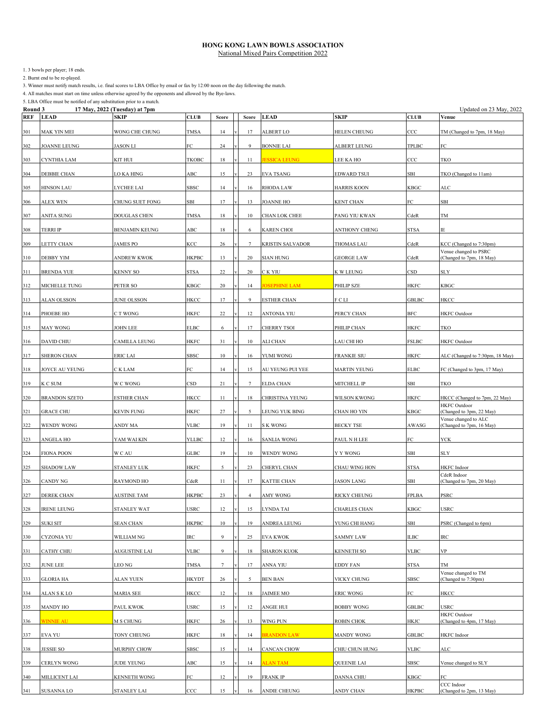1. 3 bowls per player; 18 ends.

2. Burnt end to be re-played.

3. Winner must notify match results, i.e. final scores to LBA Office by email or fax by 12:00 noon on the day following the match.

4. All matches must start on time unless otherwise agreed by the opponents and allowed by the Bye-laws.

| Round 3 |                      | 17 May, 2022 (Tuesday) at 7pm |              |         |                 |                         |                     |              | Updated on 23 May, 2022                              |
|---------|----------------------|-------------------------------|--------------|---------|-----------------|-------------------------|---------------------|--------------|------------------------------------------------------|
| REF     | <b>LEAD</b>          | SKIP                          | <b>CLUB</b>  | Score   | Score           | <b>LEAD</b>             | SKIP                | <b>CLUB</b>  | Venue                                                |
| 301     | MAK YIN MEI          | WONG CHE CHUNG                | <b>TMSA</b>  | 14      | 17              | ALBERT LO               | HELEN CHEUNG        | CCC          | TM (Changed to 7pm, 18 May)                          |
| 302     | JOANNE LEUNG         | <b>JASON LI</b>               | FC           | 24      | 9               | <b>BONNIE LAI</b>       | <b>ALBERT LEUNG</b> | TPLBC        | FC                                                   |
| 303     | CYNTHIA LAM          | KIT HUI                       | TKOBC        | 18      | 11              | <b>ESSICA LEUNG</b>     | LEE KA HO           | $_{\rm CCC}$ | TKO                                                  |
| 304     | DEBBIE CHAN          | LO KA HING                    | ABC          | 15      | 23              | <b>EVA TSANG</b>        | <b>EDWARD TSUI</b>  | SBI          | TKO (Changed to 11am)                                |
| 305     | <b>HINSON LAU</b>    | LYCHEE LAI                    | SBSC         | 14      | 16              | RHODA LAW               | <b>HARRIS KOON</b>  | <b>KBGC</b>  | <b>ALC</b>                                           |
| 306     | ALEX WEN             | CHUNG SUET FONG               | SBI          | 17      | 13              | <b>JOANNE HO</b>        | KENT CHAN           | ${\rm FC}$   | SBI                                                  |
| 307     | <b>ANITA SUNG</b>    | DOUGLAS CHEN                  | <b>TMSA</b>  | 18      | 10              | CHAN LOK CHEE           | PANG YIU KWAN       | CdeR         | $\rm TM$                                             |
| 308     | <b>TERRI IP</b>      | BENJAMIN KEUNG                | ABC          | 18      | 6               | <b>KAREN CHOI</b>       | ANTHONY CHENG       | <b>STSA</b>  | IE                                                   |
| 309     | LETTY CHAN           | <b>JAMES PO</b>               | KCC          | 26      | $\tau$          | <b>KRISTIN SALVADOR</b> | <b>THOMAS LAU</b>   | CdeR         | KCC (Changed to 7:30pm)                              |
| 310     | DEBBY YIM            | <b>ANDREW KWOK</b>            | <b>HKPBC</b> | 13      | 20              | <b>SIAN HUNG</b>        | <b>GEORGE LAW</b>   | CdeR         | Venue changed to PSRC<br>(Changed to 7pm, 18 May)    |
| 311     | <b>BRENDA YUE</b>    | KENNY SO                      | <b>STSA</b>  | 22      | 20              | C K YIU                 | K W LEUNG           | CSD          | <b>SLY</b>                                           |
| 312     | MICHELLE TUNG        | PETER SO                      | KBGC         | 20      | 14              | <b>OSEPHINE LAM</b>     | PHILIP SZE          | <b>HKFC</b>  | KBGC                                                 |
| 313     | ALAN OLSSON          | JUNE OLSSON                   | HKCC         | 17      | 9               | <b>ESTHER CHAN</b>      | F C LI              | <b>GBLBC</b> | HKCC                                                 |
| 314     | PHOEBE HO            | C T WONG                      | HKFC         | 22      | 12              | ANTONIA YIU             | PERCY CHAN          | BFC          | <b>HKFC</b> Outdoor                                  |
| 315     | MAY WONG             | JOHN LEE                      | <b>ELBC</b>  | 6       | 17              | CHERRY TSOI             | PHILIP CHAN         | <b>HKFC</b>  | TKO                                                  |
| 316     | <b>DAVID CHIU</b>    | CAMILLA LEUNG                 | HKFC         | 31      | 10              | ALI CHAN                | LAU CHI HO          | <b>FSLBC</b> | <b>HKFC</b> Outdoor                                  |
| 317     | <b>SHERON CHAN</b>   | <b>ERIC LAI</b>               | SBSC         | 10      | 16              | YUMI WONG               | <b>FRANKIE SIU</b>  | <b>HKFC</b>  | ALC (Changed to 7:30pm, 18 May)                      |
| 318     | JOYCE AU YEUNG       | C K LAM                       | FC           | 14      | 15              | AU YEUNG PUI YEE        | MARTIN YEUNG        | <b>ELBC</b>  | FC (Changed to 3pm, 17 May)                          |
| 319     | K C SUM              | W C WONG                      | <b>CSD</b>   | 21      | $7\phantom{.0}$ | ELDA CHAN               | MITCHELL IP         | SBI          | TKO                                                  |
| 320     | <b>BRANDON SZETO</b> | <b>ESTHER CHAN</b>            | HKCC         | 11      | 18              | CHRISTINA YEUNG         | WILSON KWONG        | <b>HKFC</b>  | HKCC (Changed to 7pm, 22 May)<br><b>HKFC</b> Outdoor |
| 321     | <b>GRACE CHU</b>     | KEVIN FUNG                    | HKFC         | 27      | 5               | LEUNG YUK BING          | CHAN HO YIN         | KBGC         | (Changed to 3pm, 22 May)<br>Venue changed to ALC     |
| 322     | WENDY WONG           | ANDY MA                       | <b>VLBC</b>  | 19      | 11              | <b>SK WONG</b>          | <b>BECKY TSE</b>    | AWASG        | (Changed to 7pm, 16 May)                             |
| 323     | ANGELA HO            | YAM WAI KIN                   | <b>YLLBC</b> | 12      | 16              | <b>SANLIA WONG</b>      | PAUL N H LEE        | FC           | YCK                                                  |
| 324     | <b>FIONA POON</b>    | W C AU                        | GLBC         | 19      | 10              | WENDY WONG              | Y Y WONG            | SBI          | <b>SLY</b>                                           |
| 325     | <b>SHADOW LAW</b>    | STANLEY LUK                   | HKFC         | 5       | 23              | CHERYL CHAN             | CHAU WING HON       | <b>STSA</b>  | <b>HKFC</b> Indoor                                   |
| 326     | CANDY NG             | RAYMOND HO                    | CdeR         | 11      | 17              | KATTIE CHAN             | <b>JASON LANG</b>   | SBI          | CdeR Indoor<br>(Changed to 7pm, 20 May)              |
| 327     | DEREK CHAN           | <b>AUSTINE TAM</b>            | HKPBC        | 23      | $\overline{4}$  | AMY WONG                | RICKY CHEUNG        | FPLBA        | PSRC                                                 |
| 328     | <b>IRENE LEUNG</b>   | STANLEY WAT                   | USRC         | 12      | 15              | LYNDA TAI               | CHARLES CHAN        | KBGC         | USRC                                                 |
| 329     | <b>SUKI SIT</b>      | <b>SEAN CHAN</b>              | HKPBC        | 10      | 19              | ANDREA LEUNG            | YUNG CHI HANG       | SBI          | PSRC (Changed to 6pm)                                |
| 330     | CYZONIA YU           | WILLIAM NG                    | IRC          | 9       | 25              | <b>EVA KWOK</b>         | SAMMY LAW           | ILBC         | IRC                                                  |
| 331     | CATHY CHIU           | <b>AUGUSTINE LAI</b>          | <b>VLBC</b>  | 9       | 18              | <b>SHARON KUOK</b>      | KENNETH SO          | <b>VLBC</b>  | VP                                                   |
| 332     | JUNE LEE             | LEO NG                        | TMSA         | 7       | 17              | ANNA YIU                | EDDY FAN            | STSA         | TМ<br>Venue changed to TM                            |
| 333     | GLORIA HA            | ALAN YUEN                     | HKYDT        | 26      | 5               | <b>BEN BAN</b>          | VICKY CHUNG         | SBSC         | (Changed to 7:30pm)                                  |
| 334     | ALAN S K LO          | MARIA SEE                     | HKCC         | 12      | 18              | <b>JAIMEE MO</b>        | <b>ERIC WONG</b>    | FC           | HKCC                                                 |
| 335     | <b>MANDY HO</b>      | PAUL KWOK                     | USRC         | 15      | 12              | ANGIE HUI               | <b>BOBBY WONG</b>   | GBLBC        | USRC                                                 |
| 336     | <b>WINNIE AU</b>     | M S CHUNG                     | HKFC         | 26      | 13              | WING PUN                | ROBIN CHOK          | HKJC         | <b>HKFC</b> Outdoor<br>(Changed to 4pm, 17 May)      |
| 337     | EVA YU               | TONY CHEUNG                   | HKFC         | 18      | 14              | <b>BRANDON LAW</b>      | MANDY WONG          | <b>GBLBC</b> | HKFC Indoor                                          |
| 338     | JESSIE SO            | MURPHY CHOW                   | SBSC         | 15      | 14              | CANCAN CHOW             | CHIU CHUN HUNG      | VLBC         | ALC                                                  |
| 339     | CERLYN WONG          | JUDE YEUNG                    | ABC          | 15      | 14              | <b>ALAN TAM</b>         | QUEENIE LAI         | SBSC         | Venue changed to SLY                                 |
| 340     | MILLICENT LAI        | KENNETH WONG                  | FC           | $12 \,$ | 19              | <b>FRANK IP</b>         | DANNA CHIU          | <b>KBGC</b>  | FC                                                   |
| 341     | SUSANNA LO           | STANLEY LAI                   | CCC          | 15      | 16              | ANDIE CHEUNG            | ANDY CHAN           | <b>HKPBC</b> | CCC Indoor<br>(Changed to 2pm, 13 May)               |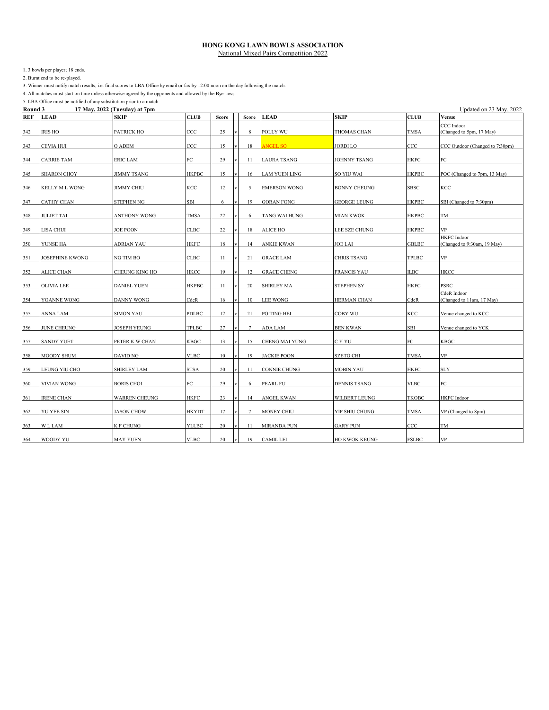1. 3 bowls per player; 18 ends.

2. Burnt end to be re-played.

3. Winner must notify match results, i.e. final scores to LBA Office by email or fax by 12:00 noon on the day following the match.

4. All matches must start on time unless otherwise agreed by the opponents and allowed by the Bye-laws.

| Round 3 |                    | 17 May, 2022 (Tuesday) at 7pm |              |              |                 |                      |                      |              | Updated on 23 May, 2022                           |
|---------|--------------------|-------------------------------|--------------|--------------|-----------------|----------------------|----------------------|--------------|---------------------------------------------------|
| REF     | <b>LEAD</b>        | <b>SKIP</b>                   | <b>CLUB</b>  | <b>Score</b> | <b>Score</b>    | <b>LEAD</b>          | SKIP                 | <b>CLUB</b>  | Venue                                             |
| 342     | <b>IRIS HO</b>     | PATRICK HO                    | $_{\rm CCC}$ | 25           | 8               | POLLY WU             | THOMAS CHAN          | <b>TMSA</b>  | CCC Indoor<br>(Changed to 5pm, 17 May)            |
| 343     | CEVIA HUI          | O ADEM                        | CCC          | 15           | 18              | <b>ANGEL SO</b>      | JORDI LO             | CCC          | CCC Outdoor (Changed to 7:30pm)                   |
| 344     | <b>CARRIE TAM</b>  | <b>ERIC LAM</b>               | FC           | 29           | 11              | <b>LAURA TSANG</b>   | JOHNNY TSANG         | HKFC         | FC                                                |
| 345     | <b>SHARON CHOY</b> | <b>JIMMY TSANG</b>            | <b>HKPBC</b> | 15           | 16              | <b>LAM YUEN LING</b> | SO YIU WAI           | <b>HKPBC</b> | POC (Changed to 7pm, 13 May)                      |
| 346     | KELLY M L WONG     | <b>JIMMY CHIU</b>             | KCC          | 12           | 5               | <b>EMERSON WONG</b>  | <b>BONNY CHEUNG</b>  | <b>SBSC</b>  | KCC                                               |
| 347     | CATHY CHAN         | STEPHEN NG                    | SBI          | 6            | 19              | <b>GORAN FONG</b>    | <b>GEORGE LEUNG</b>  | <b>HKPBC</b> | SBI (Changed to 7:30pm)                           |
| 348     | <b>JULIET TAI</b>  | ANTHONY WONG                  | TMSA         | 22           | 6               | TANG WAI HUNG        | MIAN KWOK            | <b>HKPBC</b> | TM                                                |
| 349     | LISA CHUI          | JOE POON                      | CLBC         | 22           | 18              | ALICE HO             | LEE SZE CHUNG        | <b>HKPBC</b> | VP                                                |
| 350     | YUNSE HA           | ADRIAN YAU                    | <b>HKFC</b>  | 18           | 14              | <b>ANKIE KWAN</b>    | <b>JOE LAI</b>       | <b>GBLBC</b> | <b>HKFC</b> Indoor<br>(Changed to 9:30am, 19 May) |
| 351     | JOSEPHINE KWONG    | NG TIM BO                     | <b>CLBC</b>  | 11           | 21              | <b>GRACE LAM</b>     | CHRIS TSANG          | TPLBC        | VP                                                |
| 352     | ALICE CHAN         | CHEUNG KING HO                | HKCC         | 19           | 12              | <b>GRACE CHENG</b>   | <b>FRANCIS YAU</b>   | <b>ILBC</b>  | HKCC                                              |
| 353     | OLIVIA LEE         | DANIEL YUEN                   | <b>HKPBC</b> | 11           | 20              | <b>SHIRLEY MA</b>    | STEPHEN SY           | <b>HKFC</b>  | PSRC                                              |
| 354     | YOANNE WONG        | DANNY WONG                    | CdeR         | 16           | 10              | <b>LEE WONG</b>      | HERMAN CHAN          | CdeR         | CdeR Indoor<br>(Changed to 11am, 17 May)          |
| 355     | ANNA LAM           | <b>SIMON YAU</b>              | <b>PDLBC</b> | 12           | 21              | PO TING HEI          | COBY WU              | KCC          | Venue changed to KCC                              |
| 356     | JUNE CHEUNG        | JOSEPH YEUNG                  | TPLBC        | 27           | $\tau$          | ADA LAM              | <b>BEN KWAN</b>      | SBI          | Venue changed to YCK                              |
| 357     | <b>SANDY YUET</b>  | PETER K W CHAN                | <b>KBGC</b>  | 13           | 15              | CHENG MAI YUNG       | C Y YU               | FC           | KBGC                                              |
| 358     | MOODY SHUM         | DAVID NG                      | <b>VLBC</b>  | 10           | 19              | <b>JACKIE POON</b>   | SZETO CHI            | <b>TMSA</b>  | VP                                                |
| 359     | LEUNG YIU CHO      | <b>SHIRLEY LAM</b>            | <b>STSA</b>  | 20           | 11              | CONNIE CHUNG         | MOBIN YAU            | <b>HKFC</b>  | SLY                                               |
| 360     | VIVIAN WONG        | <b>BORIS CHOI</b>             | FC           | 29           | 6               | PEARL FU             | <b>DENNIS TSANG</b>  | <b>VLBC</b>  | FC                                                |
| 361     | <b>IRENE CHAN</b>  | <b>WARREN CHEUNG</b>          | <b>HKFC</b>  | 23           | 14              | ANGEL KWAN           | WILBERT LEUNG        | ТКОВС        | HKFC Indoor                                       |
| 362     | <b>YU YEE SIN</b>  | <b>JASON CHOW</b>             | <b>HKYDT</b> | 17           | $7\phantom{.0}$ | MONEY CHIU           | YIP SHIU CHUNG       | <b>TMSA</b>  | VP (Changed to 8pm)                               |
| 363     | <b>WLLAM</b>       | <b>K F CHUNG</b>              | <b>YLLBC</b> | 20           | 11              | <b>MIRANDA PUN</b>   | <b>GARY PUN</b>      | CCC          | TM                                                |
| 364     | WOODY YU           | <b>MAY YUEN</b>               | <b>VLBC</b>  | 20           | 19              | <b>CAMIL LEI</b>     | <b>HO KWOK KEUNG</b> | <b>FSLBC</b> | VP                                                |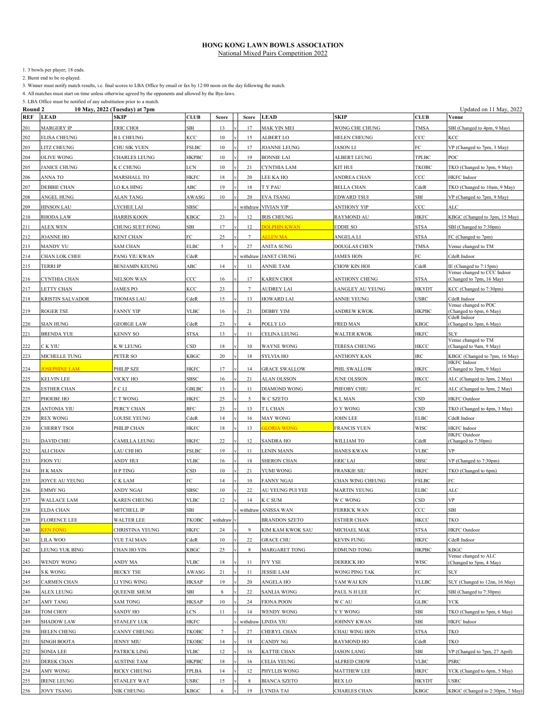1. 3 bowls per player; 18 ends.

2. Burnt end to be re-played.

3. Winner must notify match results, i.e. final scores to LBA Office by email or fax by 12:00 noon on the day following the match.

4. All matches must start on time unless otherwise agreed by the opponents and allowed by the Bye-laws.

| Round 2    |                         | 10 May, 2022 (Tuesday) at 7pm |                         |          |                 |                      |                     |                 | Updated on 11 May, 2022                               |
|------------|-------------------------|-------------------------------|-------------------------|----------|-----------------|----------------------|---------------------|-----------------|-------------------------------------------------------|
| <b>REF</b> | <b>LEAD</b>             | SKIP                          | <b>CLUB</b>             | Score    | Score           | <b>LEAD</b>          | SKIP                | <b>CLUB</b>     | Venue                                                 |
| 201        | MARGERY IP              | ERIC CHOI                     | SBI                     | 13       | 17              | MAK YIN MEI          | WONG CHE CHUNG      | <b>TMSA</b>     | SBI (Changed to 4pm, 9 May)                           |
| 202        | <b>ELISA CHEUNG</b>     | <b>BL CHEUNG</b>              | KCC                     | 10       | 15              | <b>ALBERT LO</b>     | HELEN CHEUNG        | ccc             | KCC                                                   |
| 203        | LITZ CHEUNG             | CHU SIK YUEN                  | <b>FSLBC</b>            | $10\,$   | 17              | <b>JOANNE LEUNG</b>  | <b>JASON LI</b>     | FC.             | VP (Changed to 7pm, 3 May)                            |
| 204        | <b>OLIVE WONG</b>       | CHARLES LEUNG                 | <b>HKPBC</b>            | 10       | 19              | <b>BONNIE LAI</b>    | ALBERT LEUNG        | TPLBC           | POC                                                   |
|            |                         |                               |                         |          |                 |                      |                     |                 |                                                       |
| 205        | JANICE CHUNG            | K C CHUNG                     | LCN                     | 10       | 21              | CYNTHIA LAM          | KIT HUI             | TKOBC           | TKO (Changed to 3pm, 9 May)                           |
| 206        | ANNA TO                 | MARSHALL TO                   | HKFC                    | 18       | 20              | LEE KA HO            | ANDREA CHAN         | ccc             | HKFC Indoor                                           |
| 207        | <b>DEBBIE CHAN</b>      | LO KA HING                    | ABC                     | 19       | 18              | T Y PAU              | <b>BELLA CHAN</b>   | CdeR            | TKO (Changed to 10am, 9 May)                          |
| 208        | ANGEL HUNG              | ALAN TANG                     | AWASG                   | 10       | 20              | <b>EVA TSANG</b>     | EDWARD TSUI         | SBI             | VP (Changed to 7pm, 9 May)                            |
| 209        | <b>HINSON LAU</b>       | LYCHEE LAI                    | <b>SBSC</b>             |          | withdraw        | <b>VIVIAN YIP</b>    | <b>ANTHONY YIP</b>  | ccc             | ALC                                                   |
| 210        | <b>RHODA LAW</b>        | HARRIS KOON                   | KBGC                    | 23       | 12              | <b>IRIS CHEUNG</b>   | RAYMOND AU          | <b>HKFC</b>     | KBGC (Changed to 3pm, 15 May)                         |
| 211        | ALEX WEN                | CHUNG SUET FONG               | SBI                     | 17       | 12              | <b>DOLPHIN KWAN</b>  | EDDIE SO            | <b>STSA</b>     | SBI (Changed to 7:30pm)                               |
| 212        | JOANNE HO               | KENT CHAN                     | FC                      | 25       | 7               | <b>ALLEN MA</b>      | ANGELA LI           | <b>STSA</b>     | FC (Changed to 7pm)                                   |
| 213        | MANDY YU                | SAM CHAN                      | <b>ELBC</b>             | 5        | 27              | ANITA SUNG           | DOUGLAS CHEN        | <b>TMSA</b>     | Venue changed to TM                                   |
| 214        | CHAN LOK CHEE           | PANG YIU KWAN                 | CdeR                    |          | withdraw        | <b>JANET CHUNG</b>   | <b>JAMES HON</b>    | FC              | CdeR Indoor                                           |
|            |                         |                               | ABC                     | 14       |                 |                      |                     |                 |                                                       |
| 215        | TERRI IP                | BENJAMIN KEUNG                |                         |          | 11              | <b>ANNIE TAM</b>     | CHOW KIN HOI        | CdeR            | IE (Changed to 7:15pm)<br>Venue changed to CCC Indoor |
| 216        | CYNTHIA CHAN            | NELSON WAN                    | CCC                     | 16       | 17              | <b>KAREN CHOI</b>    | ANTHONY CHENG       | <b>STSA</b>     | (Changed to 7pm, 16 May)                              |
| 217        | LETTY CHAN              | <b>JAMES PO</b>               | KCC                     | 23       | $7\phantom{.0}$ | <b>AUDREY LAI</b>    | LANGLEY AU YEUNG    | <b>HKYDT</b>    | KCC (Changed to 7:30pm)                               |
| 218        | <b>KRISTIN SALVADOR</b> | THOMAS LAU                    | CdeR                    | 15       | 13              | <b>HOWARD LAI</b>    | ANNIE YEUNG         | USRC            | CdeR Indoor                                           |
|            |                         |                               |                         |          |                 |                      |                     |                 | Venue changed to POC                                  |
| 219        | ROGER TSE               | FANNY YIP                     | VLBC                    | 16       | 21              | <b>DEBBY YIM</b>     | ANDREW KWOK         | <b>HKPBC</b>    | (Changed to 6pm, 6 May)<br>CdeR Indoor                |
| 220        | <b>SIAN HUNG</b>        | <b>GEORGE LAW</b>             | CdeR                    | 23       | $\overline{4}$  | POLLY LO             | FRED MAN            | <b>KBGC</b>     | (Changed to 3pm, 6 May)                               |
| 221        | BRENDA YUE              | KENNY SO                      | STSA                    | 13       | 11              | CELINA LEUNG         | WALTER KWOK         | <b>HKFC</b>     | SLY                                                   |
| 222        | C K YIU                 | K W LEUNG                     | $\mathbb{C}\mathbf{SD}$ | 18       | 10              | <b>WAYNE WONG</b>    | TERESA CHEUNG       | HKCC            | Venue changed to TM<br>(Changed to 9am, 9 May)        |
|            |                         |                               |                         |          |                 |                      |                     |                 |                                                       |
| 223        | MICHELLE TUNG           | PETER SO                      | KBGC                    | 20       | 18              | SYLVIA HO            | ANTHONY KAN         | IRC             | KBGC (Changed to 7pm, 16 May)<br>HKFC Indoor          |
| 224        | <b>OSEPHINE LAM</b>     | PHILIP SZE                    | HKFC                    | 17       | 14              | <b>GRACE SWALLOW</b> | PHIL SWALLOW        | HKFC            | (Changed to 3pm, 9 May)                               |
| 225        | KELVIN LEE              | VICKY HO                      | SBSC                    | 16       | 21              | <b>ALAN OLSSON</b>   | JUNE OLSSON         | HKCC            | ALC (Changed to 3pm, 2 May)                           |
| 226        | ESTHER CHAN             | F C LI                        | <b>GBLBC</b>            | 13       | 11              | <b>DIAMOND WONG</b>  | PHEOBY CHIU         | FC              | ALC (Changed to 3pm, 2 May)                           |
| 227        | PHOEBE HO               | C T WONG                      | HKFC                    | 25       | 5               | W C SZETO            | K L MAN             | CSD             | <b>HKFC</b> Outdoor                                   |
| 228        | ANTONIA YIU             | PERCY CHAN                    | BFC                     | 23       | 13              | T L CHAN             | O Y WONG            | CSD             | TKO (Changed to 4pm, 3 May)                           |
| 229        | <b>REX WONG</b>         | LOUISE YEUNG                  | CdeR                    | 14       | 16              | MAY WONG             | JOHN LEE            | <b>ELBC</b>     | CdeR Indoor                                           |
| 230        | <b>CHERRY TSOI</b>      | PHILIP CHAN                   | HKFC                    | 18       | 13              | <b>GLORIA WONG</b>   | <b>FRANCIS YUEN</b> | <b>WISC</b>     | <b>HKFC</b> Indoor                                    |
|            |                         |                               |                         |          |                 |                      |                     |                 | <b>HKFC</b> Outdoor                                   |
| 231        | DAVID CHIU              | CAMILLA LEUNG                 | HKFC                    | 22       | 12              | <b>SANDRA HO</b>     | WILLIAM TO          | CdeR            | (Changed to 7:30pm)                                   |
| 232        | ALI CHAN                | LAU CHI HO                    | <b>FSLBC</b>            | 19       | 11              | <b>LENIN MANN</b>    | HANES KWAN          | <b>VLBC</b>     | <b>VP</b>                                             |
| 233        | <b>FION YU</b>          | ANDY HUI                      | <b>VLBC</b>             | 16       | 18              | SHERON CHAN          | ERIC LAI            | <b>SBSC</b>     | VP (Changed to 7:30pm)                                |
| 234        | H K MAN                 | H P TING                      | CSD                     | 10       | 21              | YUMI WONG            | FRANKIE SIU         | HKFC            | TKO (Changed to 6pm)                                  |
| 235        | JOYCE AU YEUNG          | C K LAM                       | FC.                     | 14       | 10              | <b>FANNY NGAI</b>    | CHAN WING CHEUNG    | <b>FSLBC</b>    | FC                                                    |
| 236        | <b>EMMY NG</b>          | ANDY NGAI                     | <b>SBSC</b>             | 10       | 22              | AU YEUNG PUI YEE     | <b>MARTIN YEUNG</b> | <b>ELBC</b>     | <b>ALC</b>                                            |
| 237        | <b>WALLACE LAM</b>      | KAREN CHEUNG                  | <b>VLBC</b>             | 12       | 14              | $\rm K$ C SUM        | W C WONG            | CSD             | VP                                                    |
|            |                         |                               |                         |          |                 |                      |                     |                 |                                                       |
| 238        | <b>ELDA CHAN</b>        | MITCHELL IP                   | SBI                     |          |                 | withdraw ANISSA WAN  | <b>FERRICK WAN</b>  | $_{\rm ^{CCC}}$ | <b>SBI</b>                                            |
| 239        | <b>FLORENCE LEE</b>     | <b>WALTER LEE</b>             | TKOBC                   | withdraw |                 | <b>BRANDON SZETO</b> | ESTHER CHAN         | HKCC            | TKO                                                   |
| 240        | <b>LEN FONG</b>         | CHRISTINA YEUNG               | HKFC                    | 24       | 9               | KIM KAM KWOK SAU     | MICHAEL MAK         | STSA            | <b>HKFC</b> Outdoor                                   |
| 241        | LILA WOO                | YUE TAI MAN                   | CdeR                    | $10\,$   | 22              | <b>GRACE CHU</b>     | <b>KEVIN FUNG</b>   | HKFC            | CdeR Indoor                                           |
| 242        | LEUNG YUK BING          | CHAN HO YIN                   | KBGC                    | 25       | 8               | <b>MARGARET TONG</b> | EDMUND TONG         | <b>HKPBC</b>    | KBGC                                                  |
| 243        | WENDY WONG              | ANDY MA                       | VLBC                    | 18       | 11              | <b>IVY YSE</b>       | DERRICK HO          | WISC            | Venue changed to ALC<br>(Changed to 5pm, 4 May)       |
| 244        | S K WONG                | <b>BECKY TSE</b>              | AWASG                   | 21       | 11              | <b>JESSIE LAM</b>    | WONG PING TAK       | FC              | SLY                                                   |
| 245        | CARMEN CHAN             | LI YING WING                  | HKSAP                   | 19       | 20              | ANGELA HO            | YAM WAI KIN         | YLLBC           | SLY (Changed to 12nn, 16 May)                         |
|            |                         |                               |                         |          |                 |                      |                     |                 |                                                       |
| 246        | ALEX LEUNG              | QUEENIE SHUM                  | SBI                     |          | 22              | SANLIA WONG          | PAUL N H LEE        | FC              | SBI (Changed to 7:30pm)                               |
| 247        | AMY TANG                | SAM TONG                      | <b>HKSAP</b>            | $10\,$   | 24              | <b>FIONA POON</b>    | W C AU              | GLBC            | YCK                                                   |
| 248        | TOM CHOY                | SANDY HO                      | LCN                     | 11       | 14              | WENDY WONG           | Y Y WONG            | SBI             | TKO (Changed to 5pm, 6 May)                           |
| 249        | <b>SHADOW LAW</b>       | <b>STANLEY LUK</b>            | HKFC                    |          | withdraw        | <b>LINDA YIU</b>     | JOHNNY KWAN         | SBI             | HKFC Indoor                                           |
| 250        | <b>HELEN CHENG</b>      | CANNY CHEUNG                  | TKOBC                   | 7        | 27              | CHERYL CHAN          | CHAU WING HON       | STSA            | TKO                                                   |
| 251        | SINGH BOOTA             | <b>JENNY MIU</b>              | TKOBC                   | 14       | 18              | CANDY NG             | RAYMOND HO          | CdeR            | TKO                                                   |
| 252        | SONIA LEE               | PATRICK LING                  | VLBC                    | 12       | 16              | KATTIE CHAN          | <b>JASON LANG</b>   | SBI             | VP (Changed to 7pm, 27 April)                         |
| 253        | DEREK CHAN              | <b>AUSTINE TAM</b>            | <b>HKPBC</b>            | 18       | 16              | CELIA YEUNG          | ALFRED CHOW         | <b>VLBC</b>     | PSRC                                                  |
|            | AMY WONG                | RICKY CHEUNG                  | FPLBA                   | 14       | 12              | PHYLLIS WONG         | MATTHEW LEE         | HKFC            | YCK (Changed to 6pm, 5 May)                           |
| 254        |                         |                               |                         |          |                 |                      |                     |                 |                                                       |
| 255        | <b>IRENE LEUNG</b>      | STANLEY WAT                   | USRC                    | 15       | 8               | <b>BIANCA SZETO</b>  | REX LO              | <b>HKYDT</b>    | <b>USRC</b>                                           |
| 256        | <b>JOVY TSANG</b>       | NIK CHEUNG                    | KBGC                    | 6        | 19              | LYNDA TAI            | CHARLES CHAN        | KBGC            | KBGC (Changed to 2:30pm, 7 May)                       |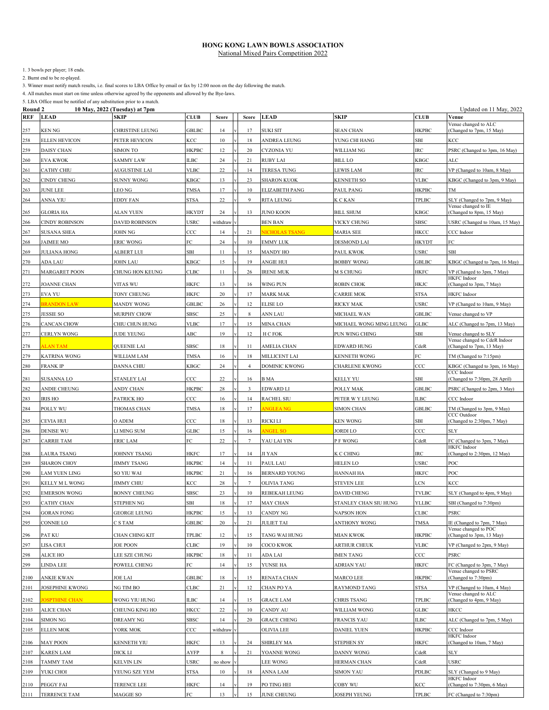1. 3 bowls per player; 18 ends.

2. Burnt end to be re-played.

3. Winner must notify match results, i.e. final scores to LBA Office by email or fax by 12:00 noon on the day following the match.

4. All matches must start on time unless otherwise agreed by the opponents and allowed by the Bye-laws.

| Round 2    |                      | 10 May, 2022 (Tuesday) at 7pm |              |          |                |                       |                         |               | Updated on 11 May, 2022                              |
|------------|----------------------|-------------------------------|--------------|----------|----------------|-----------------------|-------------------------|---------------|------------------------------------------------------|
| <b>REF</b> | <b>LEAD</b>          | SKIP                          | <b>CLUB</b>  | Score    | Score          | <b>LEAD</b>           | SKIP                    | <b>CLUB</b>   | Venue                                                |
| 257        | KEN NG               | CHRISTINE LEUNG               | GBLBC        | 14       | 17             | <b>SUKI SIT</b>       | <b>SEAN CHAN</b>        | <b>HKPBC</b>  | Venue changed to ALC<br>Changed to 7pm, 15 May)      |
| 258        | <b>ELLEN HEVICON</b> | PETER HEVICON                 | KCC          | 10       | 18             | ANDREA LEUNG          | YUNG CHI HANG           | SBI           | KCC                                                  |
| 259        | DAISY CHAN           | SIMON TO                      | <b>HKPBC</b> | 12       | 20             | <b>CYZONIA YU</b>     | WILLIAM NG              | IRC           | PSRC (Changed to 3pm, 16 May)                        |
| 260        | <b>EVA KWOK</b>      | SAMMY LAW                     | <b>ILBC</b>  | 24       | 21             | <b>RUBY LAI</b>       | <b>BILL LO</b>          | <b>KBGC</b>   | <b>ALC</b>                                           |
| 261        | <b>CATHY CHIU</b>    | <b>AUGUSTINE LAI</b>          | <b>VLBC</b>  | 22       | 14             | <b>TERESA TUNG</b>    | <b>LEWIS LAM</b>        | IRC           | VP (Changed to 10am, 8 May)                          |
| 262        | CINDY CHENG          | SUNNY WONG                    | KBGC         | 13       | 23             | <b>SHARON KUOK</b>    | <b>KENNETH SO</b>       | <b>VLBC</b>   | KBGC (Changed to 3pm, 9 May)                         |
| 263        | <b>JUNE LEE</b>      | LEO NG                        | <b>TMSA</b>  | 17       | 10             | <b>ELIZABETH PANG</b> | PAUL PANG               | НКРВС         | <b>TM</b>                                            |
| 264        | ANNA YIU             | EDDY FAN                      | <b>STSA</b>  | 22       | 9              | <b>RITA LEUNG</b>     | K C KAN                 | TPLBC         | SLY (Changed to 7pm, 9 May)                          |
| 265        | <b>GLORIA HA</b>     | <b>ALAN YUEN</b>              | HKYDT        | 24       | 13             | <b>JUNO KOON</b>      | <b>BILL SHUM</b>        | KBGC          | Venue changed to IE<br>(Changed to 8pm, 15 May)      |
| 266        | CINDY ROBINSON       | <b>DAVID ROBINSON</b>         | USRC         | withdraw |                | <b>BEN BAN</b>        | VICKY CHUNG             | SBSC          | USRC (Changed to 10am, 15 May)                       |
| 267        | <b>SUSANA SHEA</b>   | JOHN NG                       | $_{\rm CCC}$ | 14       | 21             | <b>NICHOLAS TSANG</b> | <b>MARIA SEE</b>        | HKCC          | CCC Indoor                                           |
| 268        | JAIMEE MO            | ERIC WONG                     | FC           | 24       | 10             | <b>EMMY LUK</b>       | <b>DESMOND LAI</b>      | HKYDT         | FC                                                   |
| 269        | <b>JULIANA HONG</b>  | ALBERT LUI                    | SBI          | 11       | 15             | MANDY HO              | PAUL KWOK               | <b>USRC</b>   | SBI                                                  |
| 270        | ADA LAU              | JOHN LAU                      | KBGC         | 15       | 19             | <b>ANGIE HUI</b>      | <b>BOBBY WONG</b>       | <b>GBLBC</b>  | KBGC (Changed to 7pm, 16 May)                        |
| 271        | <b>MARGARET POON</b> | CHUNG HON KEUNG               | <b>CLBC</b>  | 11       | 26             | <b>IRENE MUK</b>      | M S CHUNG               | <b>HKFC</b>   | VP (Changed to 3pm, 7 May)                           |
|            |                      |                               |              |          |                |                       |                         |               | <b>HKFC</b> Indoor                                   |
| 272        | JOANNE CHAN          | VITAS WU                      | <b>HKFC</b>  | 13       | 16             | WING PUN              | <b>ROBIN CHOK</b>       | HKJC          | (Changed to 3pm, 7 May)                              |
| 273        | <b>EVA YU</b>        | TONY CHEUNG                   | HKFC         | 20       | 17             | <b>MARK MAK</b>       | <b>CARRIE MOK</b>       | <b>STSA</b>   | <b>HKFC</b> Indoor                                   |
| 274        | <b>BRANDON LAW</b>   | <b>MANDY WONG</b>             | <b>GBLBC</b> | 26       | 12             | <b>ELISE LO</b>       | <b>RICKY MAK</b>        | <b>USRC</b>   | VP (Changed to 10am, 9 May)                          |
| 275        | <b>JESSIE SO</b>     | <b>MURPHY CHOW</b>            | SBSC         | 25       | 8              | ANN LAU               | MICHAEL WAN             | <b>GBLBC</b>  | Venue changed to VP                                  |
| 276        | CANCAN CHOW          | CHIU CHUN HUNG                | <b>VLBC</b>  | 17       | 15             | MINA CHAN             | MICHAEL WONG MING LEUNG | <b>GLBC</b>   | ALC (Changed to 7pm, 13 May)                         |
| 277        | CERLYN WONG          | <b>JUDE YEUNG</b>             | ABC          | 19       | 12             | H C FOK               | PUN WING CHING          | SBI           | Venue changed to SLY<br>Venue changed to CdeR Indoor |
| 278        | <b>LAN TAM</b>       | QUEENIE LAI                   | <b>SBSC</b>  | 18       | 11             | AMELIA CHAN           | EDWARD HUNG             | CdeR          | (Changed to 7pm, 13 May)                             |
| 279        | <b>KATRINA WONG</b>  | WILLIAM LAM                   | <b>TMSA</b>  | 16       | 18             | MILLICENT LAI         | <b>KENNETH WONG</b>     | FC            | TM (Changed to 7:15pm)                               |
| 280        | <b>FRANK IP</b>      | DANNA CHIU                    | KBGC         | 24       | $\overline{a}$ | <b>DOMINIC KWONG</b>  | CHARLENE KWONG          | CCC           | KBGC (Changed to 3pm, 16 May)                        |
| 281        | SUSANNA LO           | STANLEY LAI                   | $_{\rm CCC}$ | 22       | 16             | <b>B</b> MA           | <b>KELLY YU</b>         | SBI           | CCC Indoor<br>(Changed to 7:30pm, 28 April)          |
| 282        | ANDIE CHEUNG         | <b>ANDY CHAN</b>              | <b>HKPBC</b> | 28       | 3              | EDWARD LI             | POLLY MAK               | <b>GBLBC</b>  | PSRC (Changed to 2pm, 3 May)                         |
| 283        | <b>IRIS HO</b>       | PATRICK HO                    | CCC          | 16       | 14             | <b>RACHEL SIU</b>     | PETER W Y LEUNG         | <b>ILBC</b>   | CCC Indoor                                           |
| 284        | POLLY WU             | THOMAS CHAN                   | TMSA         | 18       | 17             | <b>NGLEANG</b>        | <b>SIMON CHAN</b>       | <b>GBLBC</b>  | TM (Changed to 3pm, 9 May)                           |
| 285        | CEVIA HUI            | O ADEM                        | CCC          | 18       | 13             | RICKI LI              | <b>KEN WONG</b>         | SBI           | CCC Outdoor<br>(Changed to 2:30pm, 7 May)            |
| 286        | DENISE WU            | LI MING SUM                   | GLBC         | 15       | 16             | <b>NGEL SO</b>        | JORDI LO                | ccc           | SLY                                                  |
| 287        | CARRIE TAM           | ERIC LAM                      | FC           | 22       | 7              | YAU LAI YIN           | P F WONG                | CdeR          | FC (Changed to 3pm, 7 May)                           |
| 288        | <b>LAURA TSANG</b>   | JOHNNY TSANG                  | HKFC         | 17       | 14             | JI YAN                | K C CHING               | IRC           | HKFC Indoor<br>(Changed to 2:30pm, 12 May)           |
| 289        | <b>SHARON CHOY</b>   | <b>JIMMY TSANG</b>            | <b>HKPBC</b> | 14       | 11             | PAUL LAU              | <b>HELEN LO</b>         | USRC          | POC                                                  |
| 290        | LAM YUEN LING        | SO YIU WAI                    | HKPBC        | 21       | 16             | <b>BERNARD YOUNG</b>  | <b>HANNAH HA</b>        | HKFC          | POC                                                  |
| 291        | KELLY M L WONG       | <b>JIMMY CHIU</b>             | KCC          | 28       | $\tau$         | <b>OLIVIA TANG</b>    | <b>STEVEN LEE</b>       | LCN           | KCC                                                  |
| 292        | <b>EMERSON WONG</b>  | <b>BONNY CHEUNG</b>           | SBSC         | 23       | 10             | <b>REBEKAH LEUNG</b>  | <b>DAVID CHENG</b>      | <b>TVLBC</b>  | SLY (Changed to 4pm, 9 May)                          |
| 293        | CATHY CHAN           | STEPHEN NG                    | SBI          | 18       | 17             | MAY CHAN              | STANLEY CHAN SIU HUNG   | YLLBC         | SBI (Changed to 7:30pm)                              |
| 294        | <b>GORAN FONG</b>    | GEORGE LEUNG                  | HKPBC        | 15       | 13             | <b>CANDY NG</b>       | <b>NAPSON HON</b>       | ${\rm C LBC}$ | <b>PSRC</b>                                          |
| 295        | CONNIE LO            | C S TAM                       | GBLBC        | 20       | 21             | <b>JULIET TAI</b>     | ANTHONY WONG            | <b>TMSA</b>   | IE (Changed to 7pm, 7 May)                           |
| 296        | PAT KU               | CHAN CHING KIT                | <b>TPLBC</b> | 12       | 15             | TANG WAI HUNG         | MIAN KWOK               | HKPBC         | Venue changed to POC<br>(Changed to 3pm, 13 May)     |
| 297        | LISA CHUI            | <b>JOE POON</b>               | CLBC         | 19       | 10             | COCO KWOK             | <b>ARTHUR CHEUK</b>     | <b>VLBC</b>   | VP (Changed to 2pm, 9 May)                           |
| 298        | ALICE HO             | LEE SZE CHUNG                 | <b>HKPBC</b> | 18       | 11             | ADA LAI               | <b>MEN TANG</b>         | ccc           | PSRC                                                 |
| 299        | LINDA LEE            | POWELL CHENG                  | FC           | 14       | 15             | YUNSE HA              | ADRIAN YAU              | HKFC          | FC (Changed to 3pm, 7 May)                           |
| 2100       | ANKIE KWAN           | JOE LAI                       | <b>GBLBC</b> | 18       | 15             | RENATA CHAN           | <b>MARCO LEE</b>        | <b>HKPBC</b>  | Venue changed to PSRC<br>(Changed to 7:30pm)         |
| 2101       | JOSEPHINE KWONG      | NG TIM BO                     | CLBC         | 21       | 12             | CHAN PO YA            | <b>RAYMOND TANG</b>     | <b>STSA</b>   | VP (Changed to 10am, 4 May)                          |
|            |                      |                               |              |          |                |                       |                         |               | Venue changed to ALC                                 |
| 2102       | <b>OSPTHINE CHAN</b> | WONG YIU HUNG                 | ILBC         | 14       | 15             | <b>GRACE LAM</b>      | CHRIS TSANG             | TPLBC         | (Changed to 4pm, 9 May)                              |
| 2103       | ALICE CHAN           | CHEUNG KING HO                | HKCC         | 22       | 10             | CANDY AU              | WILLIAM WONG            | <b>GLBC</b>   | HKCC                                                 |
| 2104       | <b>SIMON NG</b>      | DREAMY NG                     | SBSC         | 14       | 20             | <b>GRACE CHENG</b>    | <b>FRANCIS YAU</b>      | <b>ILBC</b>   | ALC (Changed to 7pm, 5 May)                          |
| 2105       | <b>ELLEN MOK</b>     | YORK MOK                      | CCC          | withdrav |                | OLIVIA LEE            | <b>DANIEL YUEN</b>      | HKPBC         | CCC Indoor<br>HKFC Indoor                            |
| 2106       | <b>MAY POON</b>      | KENNETH YIU                   | HKFC         | 13       | 24             | SHIRLEY MA            | STEPHEN SY              | HKFC          | (Changed to 10am, 7 May)                             |
| 2107       | <b>KAREN LAM</b>     | DICK LI                       | AYFP         | 8        | 21             | YOANNE WONG           | DANNY WONG              | CdeR          | SLY                                                  |
| 2108       | TAMMY TAM            | KELVIN LIN                    | USRC         | no show  |                | LEE WONG              | HERMAN CHAN             | CdeR          | USRC                                                 |
| 2109       | YUKI CHOI            | YEUNG SZE YEM                 | STSA         | 10       | 18             | ANNA LAM              | SIMON YAU               | PDLBC         | SLY (Changed to 9 May)<br><b>HKFC</b> Indoor         |
| 2110       | PEGGY FAI            | TERENCE LEE                   | HKFC         | 14       | 19             | PO TING HEI           | COBY WU                 | KCC           | Changed to 7:30pm, 6 May)                            |
| 2111       | <b>TERRENCE TAM</b>  | MAGGIE SO                     | FC           | 13       | 15             | JUNE CHEUNG           | JOSEPH YEUNG            | TPLBC         | FC (Changed to 7:30pm)                               |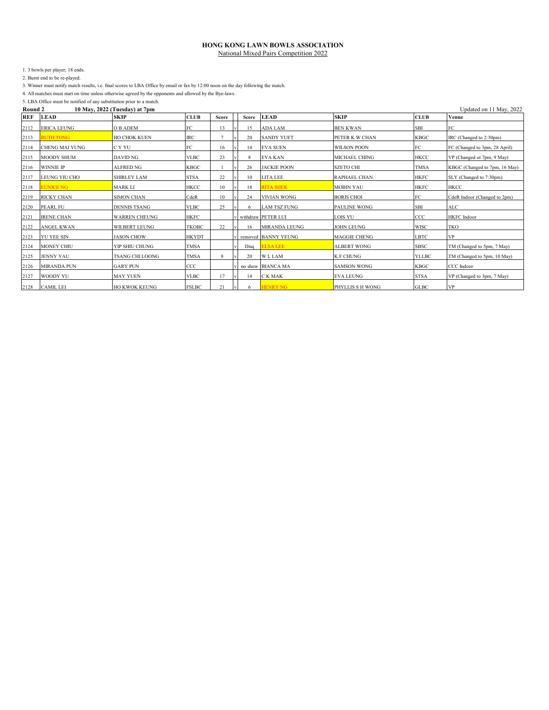1. 3 bowls per player; 18 ends.

2. Burnt end to be re-played.

3. Winner must notify match results, i.e. final scores to LBA Office by email or fax by 12:00 noon on the day following the match.

4. All matches must start on time unless otherwise agreed by the opponents and allowed by the Bye-laws.

| Round 2 | 10 May. 2022 (Tuesday) at 7nm |
|---------|-------------------------------|

| Round 2    | 10 May, 2022 (Tuesday) at 7pm<br>Updated on 11 May, 2022 |                      |              |       |  |       |                      |                     |              |                               |  |  |
|------------|----------------------------------------------------------|----------------------|--------------|-------|--|-------|----------------------|---------------------|--------------|-------------------------------|--|--|
| <b>REF</b> | <b>LEAD</b>                                              | <b>SKIP</b>          | <b>CLUB</b>  | Score |  | Score | <b>LEAD</b>          | <b>SKIP</b>         | <b>CLUB</b>  | Venue                         |  |  |
| 2112       | <b>ERICA LEUNG</b>                                       | O B ADEM             | FC           | 13    |  | 15    | <b>ADA LAM</b>       | <b>BEN KWAN</b>     | <b>SBI</b>   | FC                            |  |  |
| 2113       | <b>RUTH TONG</b>                                         | <b>HO CHOK KUEN</b>  | <b>IRC</b>   |       |  | 20    | <b>SANDY YUET</b>    | PETER K W CHAN      | <b>KBGC</b>  | IRC (Changed to 2:30pm)       |  |  |
| 2114       | <b>CHENG MAI YUNG</b>                                    | C Y YU               | FC           | 16    |  | 14    | <b>EVA SUEN</b>      | <b>WILSON POON</b>  | FC           | FC (Changed to 3pm, 28 April) |  |  |
| 2115       | <b>MOODY SHUM</b>                                        | DAVID NG             | <b>VLBC</b>  | 23    |  | 8     | <b>EVA KAN</b>       | MICHAEL CHING       | <b>HKCC</b>  | VP (Changed ot 7pm, 9 May)    |  |  |
| 2116       | <b>WINNIE IP</b>                                         | <b>ALFRED NG</b>     | <b>KBGC</b>  |       |  | 26    | <b>JACKIE POON</b>   | <b>SZETO CHI</b>    | <b>TMSA</b>  | KBGC (Changed to 7pm, 16 May) |  |  |
| 2117       | <b>LEUNG YIU CHO</b>                                     | <b>SHIRLEY LAM</b>   | <b>STSA</b>  | 22    |  | 10    | LITA LEE             | <b>RAPHAEL CHAN</b> | <b>HKFC</b>  | SLY (Changed to 7:30pm)       |  |  |
| 2118       | EUNICE NG                                                | <b>MARK LI</b>       | <b>HKCC</b>  | 10    |  | 18    | <b>RITA SHEK</b>     | <b>MOBIN YAU</b>    | <b>HKFC</b>  | <b>HKCC</b>                   |  |  |
| 2119       | <b>RICKY CHAN</b>                                        | <b>SIMON CHAN</b>    | CdeR         | 10    |  | 24    | <b>VIVIAN WONG</b>   | <b>BORIS CHOI</b>   | FC           | CdeR Indoor (Changed to 2pm)  |  |  |
| 2120       | <b>PEARL FU</b>                                          | <b>DENNIS TSANG</b>  | <b>VLBC</b>  | 25    |  | 6     | <b>LAM TSZ FUNG</b>  | <b>PAULINE WONG</b> | <b>SBI</b>   | $\mathbf{ALC}$                |  |  |
| 2121       | <b>IRENE CHAN</b>                                        | <b>WARREN CHEUNG</b> | <b>HKFC</b>  |       |  |       | withdraw PETER LUI   | <b>LOIS YU</b>      | CCC          | <b>HKFC</b> Indoor            |  |  |
| 2122       | <b>ANGEL KWAN</b>                                        | <b>WILBERT LEUNG</b> | <b>TKOBC</b> | 22    |  | 16    | <b>MIRANDA LEUNG</b> | <b>JOHN LEUNG</b>   | <b>WISC</b>  | <b>TKO</b>                    |  |  |
| 2123       | <b>YU YEE SIN</b>                                        | <b>JASON CHOW</b>    | <b>HKYDT</b> |       |  |       | removed BANNY YEUNG  | <b>MAGGIE CHENG</b> | <b>LBTC</b>  | <b>VP</b>                     |  |  |
| 2124       | <b>MONEY CHIU</b>                                        | YIP SHIU CHUNG       | <b>TMSA</b>  |       |  | Disa  | <b>ELSA LEE</b>      | <b>ALBERT WONG</b>  | <b>SBSC</b>  | TM (Changed to 5pm, 7 May)    |  |  |
| 2125       | <b>JENNY YAU</b>                                         | TSANG CHI LOONG      | <b>TMSA</b>  | 8     |  | 20    | <b>WLLAM</b>         | <b>K F CHUNG</b>    | <b>YLLBC</b> | TM (Changed to 5pm, 10 May)   |  |  |
| 2126       | <b>MIRANDA PUN</b>                                       | <b>GARY PUN</b>      | CCC          |       |  |       | no show BIANCA MA    | <b>SAMSON WONG</b>  | <b>KBGC</b>  | CCC Indoor                    |  |  |
| 2127       | WOODY YU                                                 | <b>MAY YUEN</b>      | <b>VLBC</b>  | 17    |  | 14    | C K MAK              | <b>EVA LEUNG</b>    | <b>STSA</b>  | VP (Changed to 3pm, 7 May)    |  |  |
| 2128       | <b>CAMIL LEI</b>                                         | <b>HO KWOK KEUNG</b> | <b>FSLBC</b> | 21    |  | 6     | <b>HENRY NG</b>      | PHYLLIS S H WONG    | <b>GLBC</b>  | <b>VP</b>                     |  |  |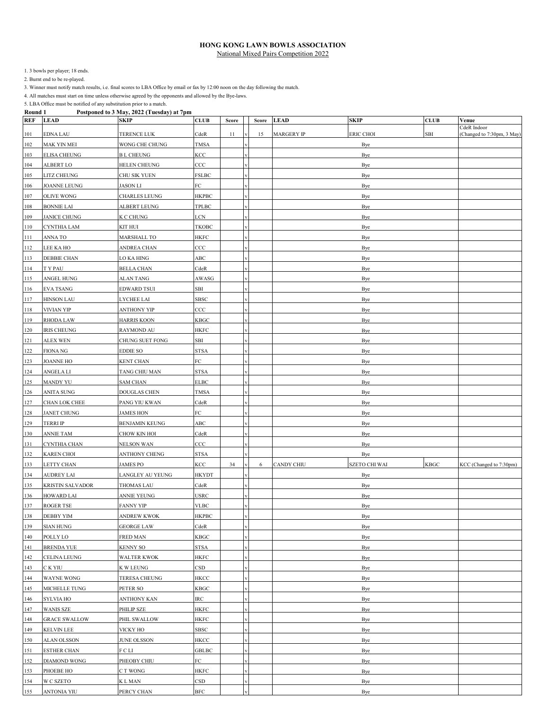1. 3 bowls per player; 18 ends.

2. Burnt end to be re-played.

3. Winner must notify match results, i.e. final scores to LBA Office by email or fax by 12:00 noon on the day following the match.

4. All matches must start on time unless otherwise agreed by the opponents and allowed by the Bye-laws.

| <b>REF</b> | $1.994$ possess to be that<br><b>LEAD</b> | <b>SKIP</b>           | <b>CLUB</b>            | Score | Score | <b>LEAD</b>       | <b>SKIP</b>          | <b>CLUB</b> | Venue                                     |
|------------|-------------------------------------------|-----------------------|------------------------|-------|-------|-------------------|----------------------|-------------|-------------------------------------------|
| 101        | EDNA LAU                                  | TERENCE LUK           | CdeR                   | 11    | 15    | <b>MARGERY IP</b> | <b>ERIC CHOI</b>     | SBI         | CdeR Indoor<br>(Changed to 7:30pm, 3 May) |
| 102        | MAK YIN MEI                               | WONG CHE CHUNG        | <b>TMSA</b>            |       |       |                   | Bye                  |             |                                           |
| 103        | <b>ELISA CHEUNG</b>                       | <b>BL CHEUNG</b>      | KCC                    |       |       |                   | Bye                  |             |                                           |
| 104        | ALBERT LO                                 | <b>HELEN CHEUNG</b>   | $_{\rm CCC}$           |       |       |                   | Bye                  |             |                                           |
| 105        | LITZ CHEUNG                               | CHU SIK YUEN          | FSLBC                  |       |       |                   | Bye                  |             |                                           |
| 106        | JOANNE LEUNG                              | JASON LI              | FC                     |       |       |                   | Bye                  |             |                                           |
| 107        | OLIVE WONG                                | CHARLES LEUNG         | <b>HKPBC</b>           |       |       |                   | Bye                  |             |                                           |
| 108        | <b>BONNIE LAI</b>                         | ALBERT LEUNG          | TPLBC                  |       |       |                   | Bye                  |             |                                           |
| 109        | JANICE CHUNG                              | K C CHUNG             | LCN                    |       |       |                   | Bye                  |             |                                           |
| 110        | CYNTHIA LAM                               | KIT HUI               | ТКОВС                  |       |       |                   | Bye                  |             |                                           |
| 111        | ANNA TO                                   | MARSHALL TO           | <b>HKFC</b>            |       |       |                   | Bye                  |             |                                           |
| 112        | LEE KA HO                                 | ANDREA CHAN           | CCC                    |       |       |                   | <b>Bye</b>           |             |                                           |
| 113        | <b>DEBBIE CHAN</b>                        | LO KA HING            | ABC                    |       |       |                   | Bye                  |             |                                           |
| 114        | T Y PAU                                   | <b>BELLA CHAN</b>     | CdeR                   |       |       |                   | Bye                  |             |                                           |
| 115        | ANGEL HUNG                                | ALAN TANG             | AWASG                  |       |       |                   | Bye                  |             |                                           |
| 116        | EVA TSANG                                 | EDWARD TSUI           | SBI                    |       |       |                   | Bye                  |             |                                           |
| 117        | <b>HINSON LAU</b>                         | LYCHEE LAI            | SBSC                   |       |       |                   | Bye                  |             |                                           |
| 118        | VIVIAN YIP                                | ANTHONY YIP           | $_{\rm CCC}$           |       |       |                   | Bye                  |             |                                           |
| 119        | <b>RHODA LAW</b>                          | <b>HARRIS KOON</b>    | KBGC                   |       |       |                   | Bye                  |             |                                           |
| 120        | <b>IRIS CHEUNG</b>                        | <b>RAYMOND AU</b>     | HKFC                   |       |       |                   | Bye                  |             |                                           |
| 121        | <b>ALEX WEN</b>                           | CHUNG SUET FONG       | SBI                    |       |       |                   | Bye                  |             |                                           |
| 122        | FIONA NG                                  | EDDIE SO              | STSA                   |       |       |                   | Bye                  |             |                                           |
| 123        | <b>JOANNE HO</b>                          | <b>KENT CHAN</b>      | FC                     |       |       |                   | Bye                  |             |                                           |
| 124        | ANGELA LI                                 | TANG CHIU MAN         | STSA                   |       |       |                   | Bye                  |             |                                           |
| 125        | MANDY YU                                  | <b>SAM CHAN</b>       | <b>ELBC</b>            |       |       | Bye               |                      |             |                                           |
| 126        | ANITA SUNG                                | DOUGLAS CHEN          | TMSA                   |       |       | Bye               |                      |             |                                           |
| 127        | CHAN LOK CHEE                             | PANG YIU KWAN         | CdeR                   |       |       | Bye               |                      |             |                                           |
| 128        | JANET CHUNG                               | JAMES HON             | FC                     |       |       | Bye               |                      |             |                                           |
| 129        | <b>TERRI IP</b>                           | <b>BENJAMIN KEUNG</b> | ABC                    |       |       |                   | Bye                  |             |                                           |
| 130        | ANNIE TAM                                 | CHOW KIN HOI          | CdeR                   |       |       |                   | Bye                  |             |                                           |
| 131        | CYNTHIA CHAN                              | NELSON WAN            | $_{\rm CCC}$           |       |       |                   | Bye                  |             |                                           |
| 132        | KAREN CHOI                                | ANTHONY CHENG         | STSA                   |       |       |                   | Bye                  |             |                                           |
| 133        | LETTY CHAN                                | JAMES PO              | KCC                    | 34    | 6     | <b>CANDY CHIU</b> | <b>SZETO CHI WAI</b> | <b>KBGC</b> | KCC (Changed to 7:30pm)                   |
| 134        | AUDREY LAI                                | LANGLEY AU YEUNG      | <b>HKYDT</b>           |       |       |                   | Bye                  |             |                                           |
| 135        | KRISTIN SALVADOR                          | THOMAS LAU            | CdeR                   |       |       |                   | Bye                  |             |                                           |
| 136        | <b>HOWARD LAI</b>                         | ANNIE YEUNG           | <b>USRC</b>            |       |       |                   | Bye                  |             |                                           |
| 137        | ROGER TSE                                 | <b>FANNY YIP</b>      | <b>VLBC</b>            |       |       |                   | Bye                  |             |                                           |
| 138        | DEBBY YIM                                 | <b>ANDREW KWOK</b>    | <b>HKPBC</b>           |       |       |                   | Bye                  |             |                                           |
| 139        | <b>SIAN HUNG</b>                          | <b>GEORGE LAW</b>     | CdeR                   |       |       |                   | Bye                  |             |                                           |
| 140        | POLLY LO                                  | FRED MAN              | KBGC                   |       |       |                   | Bye                  |             |                                           |
| 141        | <b>BRENDA YUE</b>                         | <b>KENNY SO</b>       | STSA                   |       |       |                   | Bye                  |             |                                           |
| 142        | <b>CELINA LEUNG</b>                       | <b>WALTER KWOK</b>    | HKFC                   |       |       |                   | Bye                  |             |                                           |
| 143        | C K YIU                                   | K W LEUNG             | $_{\tiny{\text{CSD}}}$ |       |       |                   | Bye                  |             |                                           |
| 144        | <b>WAYNE WONG</b>                         | TERESA CHEUNG         | <b>HKCC</b>            |       |       |                   | Bye                  |             |                                           |
| 145        | MICHELLE TUNG                             | PETER SO              | KBGC                   |       |       |                   | Bye                  |             |                                           |
| 146        | SYLVIA HO                                 | ANTHONY KAN           | IRC                    |       |       |                   | Bye                  |             |                                           |
| 147        | <b>WANIS SZE</b>                          | PHILIP SZE            | HKFC                   |       |       |                   | Bye                  |             |                                           |
| 148        | <b>GRACE SWALLOW</b>                      | PHIL SWALLOW          | <b>HKFC</b>            |       |       |                   | Bye                  |             |                                           |
| 149        | <b>KELVIN LEE</b>                         | VICKY HO              | SBSC                   |       |       |                   | Bye                  |             |                                           |
| 150        | ALAN OLSSON                               | <b>JUNE OLSSON</b>    | HKCC                   |       |       |                   | Bye                  |             |                                           |
| 151        | <b>ESTHER CHAN</b>                        | FCLI                  | GBLBC                  |       |       |                   | Bye                  |             |                                           |
| 152        | DIAMOND WONG                              | PHEOBY CHIU           | FC                     |       |       |                   | Bye                  |             |                                           |
| 153        | PHOEBE HO                                 | C T WONG              | HKFC                   |       |       | Bye               |                      |             |                                           |
| 154        | W C SZETO                                 | K L MAN               | CSD                    |       |       |                   | Bye                  |             |                                           |
| 155        | ANTONIA YIU                               | PERCY CHAN            | $_{\rm BFC}$           |       |       |                   | Bye                  |             |                                           |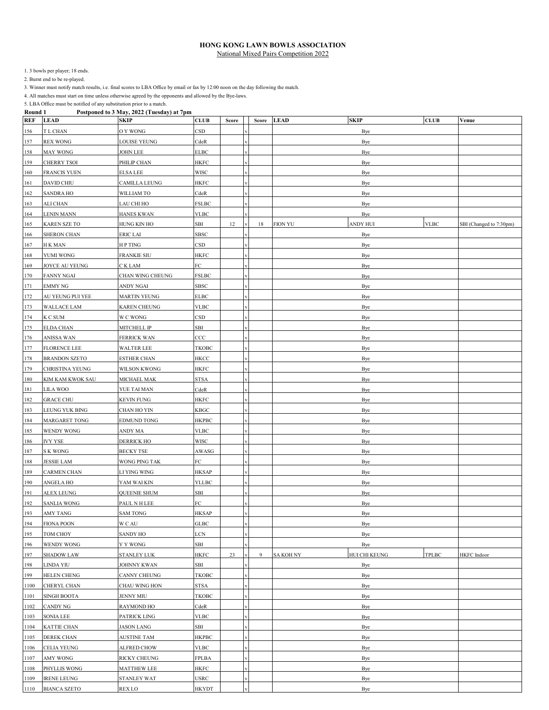1. 3 bowls per player; 18 ends.

2. Burnt end to be re-played.

3. Winner must notify match results, i.e. final scores to LBA Office by email or fax by 12:00 noon on the day following the match.

4. All matches must start on time unless otherwise agreed by the opponents and allowed by the Bye-laws.

| <b>ROUND</b> 1<br><b>REF</b> | <b>LEAD</b>          | Toseponce to 5 may, 2022 (Tucsuay) at 7pm<br><b>SKIP</b> | <b>CLUB</b>              | Score | Score | <b>SKIP</b><br><b>LEAD</b> | <b>CLUB</b> | Venue                   |
|------------------------------|----------------------|----------------------------------------------------------|--------------------------|-------|-------|----------------------------|-------------|-------------------------|
| 156                          | T L CHAN             | O Y WONG                                                 | CSD                      |       |       | Bye                        |             |                         |
| 157                          | <b>REX WONG</b>      | LOUISE YEUNG                                             | CdeR                     |       |       | Bye                        |             |                         |
| 158                          | MAY WONG             | JOHN LEE                                                 | ELBC                     |       |       | Bye                        |             |                         |
| 159                          | CHERRY TSOI          | PHILIP CHAN                                              | HKFC                     |       |       | Bye                        |             |                         |
| 160                          | <b>FRANCIS YUEN</b>  | ELSA LEE                                                 | <b>WISC</b>              |       |       | Bye                        |             |                         |
| 161                          | DAVID CHIU           | CAMILLA LEUNG                                            | HKFC                     |       |       | Bye                        |             |                         |
| 162                          | <b>SANDRA HO</b>     | WILLIAM TO                                               | CdeR                     |       |       | Bye                        |             |                         |
| 163                          | ALI CHAN             | LAU CHI HO                                               | <b>FSLBC</b>             |       |       | Bye                        |             |                         |
| 164                          | LENIN MANN           | <b>HANES KWAN</b>                                        | VLBC                     |       |       | Bye                        |             |                         |
| 165                          | <b>KAREN SZE TO</b>  | HUNG KIN HO                                              | SBI                      | 12    | 18    | <b>FION YU</b><br>ANDY HUI | <b>VLBC</b> | SBI (Changed to 7:30pm) |
| 166                          | SHERON CHAN          | ERIC LAI                                                 | SBSC                     |       |       | Bye                        |             |                         |
| 167                          | H K MAN              | H P TING                                                 | CSD                      |       |       | Bye                        |             |                         |
| 168                          | YUMI WONG            | <b>FRANKIE SIU</b>                                       | HKFC                     |       |       | Bye                        |             |                         |
| 169                          | JOYCE AU YEUNG       | C K LAM                                                  | FC                       |       |       | Bye                        |             |                         |
| 170                          | FANNY NGAI           | CHAN WING CHEUNG                                         | <b>FSLBC</b>             |       |       | Bye                        |             |                         |
| 171                          | EMMY NG              | ANDY NGAI                                                | SBSC                     |       |       | Bye                        |             |                         |
| 172                          | AU YEUNG PUI YEE     | <b>MARTIN YEUNG</b>                                      | <b>ELBC</b>              |       |       | Bye                        |             |                         |
| 173                          | WALLACE LAM          | <b>KAREN CHEUNG</b>                                      | <b>VLBC</b>              |       |       | Bye                        |             |                         |
| 174                          | K C SUM              | W C WONG                                                 | $_{\tiny{\textrm{CSD}}}$ |       |       | Bye                        |             |                         |
| 175                          | <b>ELDA CHAN</b>     | MITCHELL IP                                              | SBI                      |       |       | Bye                        |             |                         |
| 176                          | ANISSA WAN           | FERRICK WAN                                              | CCC                      |       |       | Bye                        |             |                         |
| 177                          | <b>FLORENCE LEE</b>  | WALTER LEE                                               | ТКОВС                    |       |       | Bye                        |             |                         |
| 178                          | <b>BRANDON SZETO</b> | ESTHER CHAN                                              | HKCC                     |       |       | Bye                        |             |                         |
| 179                          | CHRISTINA YEUNG      | WILSON KWONG                                             | <b>HKFC</b>              |       |       | Bye                        |             |                         |
| 180                          | KIM KAM KWOK SAU     | MICHAEL MAK                                              | STSA                     |       |       | Bye                        |             |                         |
| 181                          | LILA WOO             | YUE TAI MAN                                              | CdeR                     |       |       | Bye                        |             |                         |
| 182                          | <b>GRACE CHU</b>     | <b>KEVIN FUNG</b>                                        | <b>HKFC</b>              |       |       | Bye                        |             |                         |
| 183                          | LEUNG YUK BING       | CHAN HO YIN                                              | KBGC                     |       |       | Bye                        |             |                         |
| 184                          | MARGARET TONG        | EDMUND TONG                                              | HKPBC                    |       |       | Bye                        |             |                         |
| 185                          | WENDY WONG           | ANDY MA                                                  | <b>VLBC</b>              |       |       | Bye                        |             |                         |
| 186                          | <b>IVY YSE</b>       | <b>DERRICK HO</b>                                        | <b>WISC</b>              |       |       | Bye                        |             |                         |
| 187                          | S K WONG             | <b>BECKY TSE</b>                                         | AWASG                    |       |       | <b>Bye</b>                 |             |                         |
| 188                          | <b>JESSIE LAM</b>    | WONG PING TAK                                            | FC                       |       |       | Bye                        |             |                         |
| 189                          | <b>CARMEN CHAN</b>   | LI YING WING                                             | <b>HKSAP</b>             |       |       | Bye                        |             |                         |
| 190                          | <b>ANGELA HO</b>     | YAM WAI KIN                                              | <b>YLLBC</b>             |       |       | Bye                        |             |                         |
| 191                          | ALEX LEUNG           | <b>QUEENIE SHUM</b>                                      | SBI                      |       |       | Bye                        |             |                         |
| 192                          | <b>SANLIA WONG</b>   | PAUL N H LEE                                             | FC                       |       |       | Bye                        |             |                         |
| 193                          | <b>AMY TANG</b>      | <b>SAM TONG</b>                                          | <b>HKSAP</b>             |       |       | Bye                        |             |                         |
| 194                          | <b>FIONA POON</b>    | W C AU                                                   | GLBC                     |       |       | Bye                        |             |                         |
| 195                          | TOM CHOY             | SANDY HO                                                 | LCN                      |       |       | Bye                        |             |                         |
| 196                          | WENDY WONG           | Y Y WONG                                                 | SBI                      |       |       | Bye                        |             |                         |
| 197                          | SHADOW LAW           | STANLEY LUK                                              | HKFC                     | 23    | 9     | HUI CHI KEUNG<br>SA KOH NY | TPLBC       | HKFC Indoor             |
| 198                          | LINDA YIU            | <b>JOHNNY KWAN</b>                                       | SBI                      |       |       | Bye                        |             |                         |
| 199                          | <b>HELEN CHENG</b>   | <b>CANNY CHEUNG</b>                                      | TKOBC                    |       |       | Bye                        |             |                         |
| 1100                         | CHERYL CHAN          | CHAU WING HON                                            | STSA                     |       |       | Bye                        |             |                         |
| 1101                         | SINGH BOOTA          | JENNY MIU                                                | ТКОВС                    |       |       | Bye                        |             |                         |
| 1102                         | CANDY NG             | <b>RAYMOND HO</b>                                        | CdeR                     |       |       | Bye                        |             |                         |
| 1103                         | SONIA LEE            | PATRICK LING                                             | VLBC                     |       |       | Bye                        |             |                         |
| 1104                         | KATTIE CHAN          | <b>JASON LANG</b>                                        | SBI                      |       |       | Bye                        |             |                         |
| 1105                         | <b>DEREK CHAN</b>    | AUSTINE TAM                                              | <b>HKPBC</b>             |       |       | Bye                        |             |                         |
| 1106                         | CELIA YEUNG          | <b>ALFRED CHOW</b>                                       | VLBC                     |       |       | Bye                        |             |                         |
| 1107                         | AMY WONG             | RICKY CHEUNG                                             | FPLBA                    |       |       | Bye                        |             |                         |
| 1108                         | PHYLLIS WONG         | MATTHEW LEE                                              | HKFC                     |       |       | Bye                        |             |                         |
| 1109                         | <b>IRENE LEUNG</b>   | STANLEY WAT                                              | USRC                     |       |       | Bye                        |             |                         |
| 1110                         | <b>BIANCA SZETO</b>  | REX LO                                                   | <b>HKYDT</b>             |       |       | Bye                        |             |                         |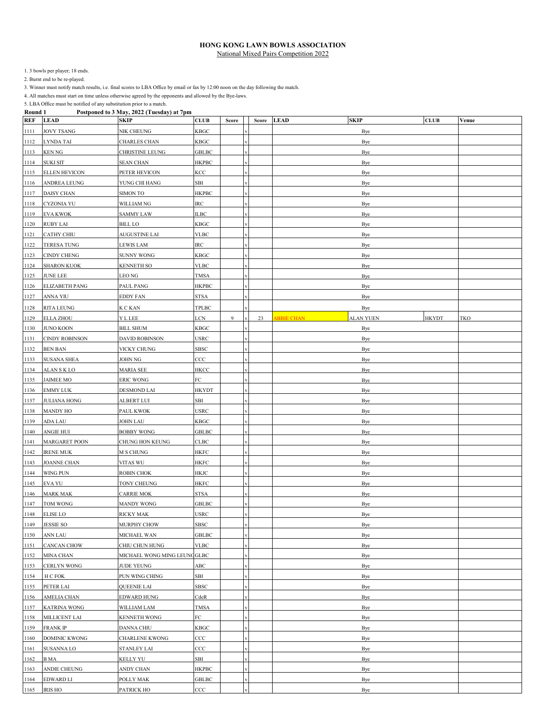1. 3 bowls per player; 18 ends.

2. Burnt end to be re-played.

3. Winner must notify match results, i.e. final scores to LBA Office by email or fax by 12:00 noon on the day following the match.

4. All matches must start on time unless otherwise agreed by the opponents and allowed by the Bye-laws.

| <b>REF</b>   | <b>LEAD</b>           | <b>SKIP</b>                  | <b>CLUB</b>              | Score | Score | <b>LEAD</b><br><b>SKIP</b>                   | <b>CLUB</b>  | Venue |
|--------------|-----------------------|------------------------------|--------------------------|-------|-------|----------------------------------------------|--------------|-------|
| 1111         | JOVY TSANG            | <b>NIK CHEUNG</b>            | KBGC                     |       |       | Bye                                          |              |       |
| 1112         | LYNDA TAI             | CHARLES CHAN                 | KBGC                     |       |       | Bye                                          |              |       |
| 1113         | <b>KEN NG</b>         | CHRISTINE LEUNG              | <b>GBLBC</b>             |       |       | Bye                                          |              |       |
| 1114         | <b>SUKI SIT</b>       | <b>SEAN CHAN</b>             | <b>HKPBC</b>             |       |       | Bye                                          |              |       |
| 1115         | <b>ELLEN HEVICON</b>  | PETER HEVICON                | KCC                      |       |       | Bye                                          |              |       |
| 1116         | ANDREA LEUNG          | YUNG CHI HANG                | SBI                      |       |       | Bye                                          |              |       |
| 1117         | DAISY CHAN            | SIMON TO                     | HKPBC                    |       |       | Bye                                          |              |       |
| 1118         | CYZONIA YU            | WILLIAM NG                   | IRC                      |       |       | Bye                                          |              |       |
| 1119         | <b>EVA KWOK</b>       | <b>SAMMY LAW</b>             | <b>ILBC</b>              |       |       | Bye                                          |              |       |
| 1120         | <b>RUBY LAI</b>       | <b>BILL LO</b>               | KBGC                     |       |       | Bye                                          |              |       |
| 1121         | CATHY CHIU            | <b>AUGUSTINE LAI</b>         | VLBC                     |       |       | Bye                                          |              |       |
| 1122         | <b>TERESA TUNG</b>    | LEWIS LAM                    | IRC                      |       |       | Bye                                          |              |       |
| 1123         | <b>CINDY CHENG</b>    | SUNNY WONG                   | KBGC                     |       |       | Bye                                          |              |       |
| 1124         | <b>SHARON KUOK</b>    | KENNETH SO                   | VLBC                     |       |       | Bye                                          |              |       |
| 1125         | <b>JUNE LEE</b>       | LEO NG                       | TMSA                     |       |       | Bye                                          |              |       |
| 1126         | ELIZABETH PANG        | PAUL PANG                    | <b>HKPBC</b>             |       |       | Bye                                          |              |       |
| 1127         | ANNA YIU              | EDDY FAN                     | STSA                     |       |       | Bye                                          |              |       |
|              | <b>RITA LEUNG</b>     | K C KAN                      | TPLBC                    |       |       |                                              |              |       |
| 1128         | <b>ELLA ZHOU</b>      | <b>Y L LEE</b>               | LCN                      | 9     | 23    | Bye<br><b>ABBIE CHAN</b><br><b>ALAN YUEN</b> | <b>HKYDT</b> | TKO   |
| 1129<br>1130 | <b>JUNO KOON</b>      | <b>BILL SHUM</b>             | KBGC                     |       |       | Bye                                          |              |       |
| 1131         | <b>CINDY ROBINSON</b> | <b>DAVID ROBINSON</b>        | <b>USRC</b>              |       |       | Bye                                          |              |       |
| 1132         | <b>BEN BAN</b>        | VICKY CHUNG                  | SBSC                     |       |       | Bye                                          |              |       |
|              | <b>SUSANA SHEA</b>    |                              | $_{\rm CCC}$             |       |       |                                              |              |       |
| 1133         | ALAN SKLO             | JOHN NG<br><b>MARIA SEE</b>  | HKCC                     |       |       | Bye                                          |              |       |
| 1134         | <b>JAIMEE MO</b>      | <b>ERIC WONG</b>             | FC                       |       |       | Bye                                          |              |       |
| 1135<br>1136 | <b>EMMY LUK</b>       | DESMOND LAI                  |                          |       |       | Bye<br>Bye                                   |              |       |
| 1137         | <b>JULIANA HONG</b>   | ALBERT LUI                   | <b>HKYDT</b><br>SBI      |       |       | Bye                                          |              |       |
| 1138         | <b>MANDY HO</b>       | PAUL KWOK                    | USRC                     |       |       | Bye                                          |              |       |
| 1139         | ADA LAU               | JOHN LAU                     | KBGC                     |       |       | Bye                                          |              |       |
| 1140         | ANGIE HUI             | <b>BOBBY WONG</b>            | <b>GBLBC</b>             |       |       |                                              |              |       |
| 1141         | <b>MARGARET POON</b>  | CHUNG HON KEUNG              | CLBC                     |       |       | Bye<br>Bye                                   |              |       |
| 1142         | <b>IRENE MUK</b>      | M S CHUNG                    | HKFC                     |       |       | <b>Bye</b>                                   |              |       |
| 1143         | <b>JOANNE CHAN</b>    | VITAS WU                     | HKFC                     |       |       | Bye                                          |              |       |
| 1144         | WING PUN              | <b>ROBIN CHOK</b>            | HKJC                     |       |       | Bye                                          |              |       |
| 1145         | EVA YU                | TONY CHEUNG                  | HKFC                     |       |       | Bye                                          |              |       |
| 1146         | <b>MARK MAK</b>       | <b>CARRIE MOK</b>            | STSA                     |       |       | Bye                                          |              |       |
| 1147         | TOM WONG              | <b>MANDY WONG</b>            | <b>GBLBC</b>             |       |       | Bye                                          |              |       |
| 1148         | <b>ELISE LO</b>       | <b>RICKY MAK</b>             | $_{\mbox{\small{USRC}}}$ |       |       | Bye                                          |              |       |
| 1149         | <b>JESSIE SO</b>      | <b>MURPHY CHOW</b>           | SBSC                     |       |       | Bye                                          |              |       |
| 1150         | ANN LAU               | MICHAEL WAN                  | GBLBC                    |       |       | Bye                                          |              |       |
| 1151         | <b>CANCAN CHOW</b>    | CHIU CHUN HUNG               | <b>VLBC</b>              |       |       | Bye                                          |              |       |
| 1152         | <b>MINA CHAN</b>      | MICHAEL WONG MING LEUNC GLBC |                          |       |       | Bye                                          |              |       |
| 1153         | <b>CERLYN WONG</b>    | JUDE YEUNG                   | ABC                      |       |       | Bye                                          |              |       |
| 1154         | H C FOK               | PUN WING CHING               | SBI                      |       |       | Bye                                          |              |       |
| 1155         | PETER LAI             | <b>QUEENIE LAI</b>           | SBSC                     |       |       | Bye                                          |              |       |
| 1156         | AMELIA CHAN           | EDWARD HUNG                  | CdeR                     |       |       | Bye                                          |              |       |
| 1157         | <b>KATRINA WONG</b>   | WILLIAM LAM                  | TMSA                     |       |       | Bye                                          |              |       |
| 1158         | MILLICENT LAI         | <b>KENNETH WONG</b>          | FC                       |       |       | Bye                                          |              |       |
| 1159         | <b>FRANKIP</b>        | DANNA CHIU                   | KBGC                     |       |       | Bye                                          |              |       |
| 1160         | DOMINIC KWONG         | <b>CHARLENE KWONG</b>        | $_{\rm CCC}$             |       |       | Bye                                          |              |       |
| 1161         | <b>SUSANNA LO</b>     | STANLEY LAI                  | $_{\rm CCC}$             |       |       | Bye                                          |              |       |
| 1162         | B MA                  | KELLY YU                     | SBI                      |       |       | Bye                                          |              |       |
| 1163         | ANDIE CHEUNG          | ANDY CHAN                    | НКРВС                    |       |       | Bye                                          |              |       |
| 1164         | EDWARD LI             | POLLY MAK                    | GBLBC                    |       |       | Bye                                          |              |       |
| 1165         | <b>IRIS HO</b>        | PATRICK HO                   | $_{\rm CCC}$             |       |       | Bye                                          |              |       |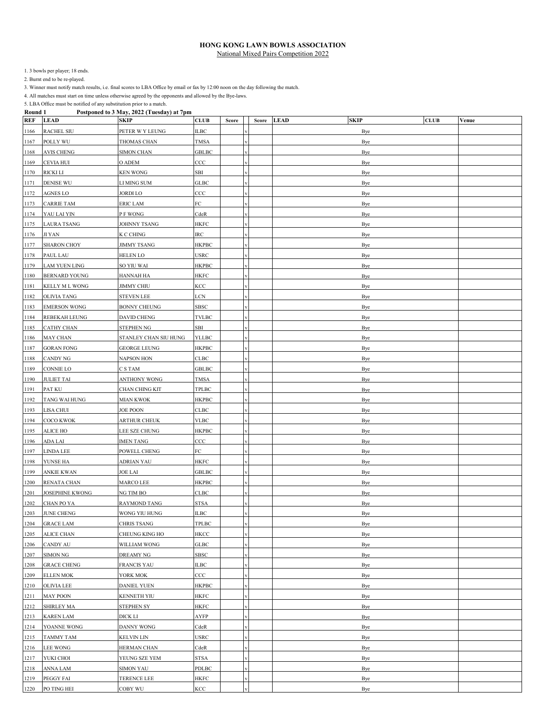1. 3 bowls per player; 18 ends.

2. Burnt end to be re-played.

3. Winner must notify match results, i.e. final scores to LBA Office by email or fax by 12:00 noon on the day following the match.

4. All matches must start on time unless otherwise agreed by the opponents and allowed by the Bye-laws.

| <b>REF</b> | <b>LEAD</b>            | <b>SKIP</b>           | <b>CLUB</b>  | Score | Score | <b>SKIP</b><br><b>LEAD</b> | <b>CLUB</b> | Venue |
|------------|------------------------|-----------------------|--------------|-------|-------|----------------------------|-------------|-------|
| 1166       | <b>RACHEL SIU</b>      | PETER W Y LEUNG       | ILBC         |       |       | Bye                        |             |       |
| 1167       | POLLY WU               | THOMAS CHAN           | <b>TMSA</b>  |       |       | Bye                        |             |       |
| 1168       | <b>AVIS CHENG</b>      | <b>SIMON CHAN</b>     | <b>GBLBC</b> |       |       | Bye                        |             |       |
| 1169       | CEVIA HUI              | O ADEM                | $_{\rm CCC}$ |       |       | Bye                        |             |       |
| 1170       | <b>RICKI LI</b>        | <b>KEN WONG</b>       | SBI          |       |       | Bye                        |             |       |
| 1171       | <b>DENISE WU</b>       | LI MING SUM           | GLBC         |       |       | Bye                        |             |       |
| 1172       | AGNES LO               | JORDI LO              | $_{\rm CCC}$ |       |       | Bye                        |             |       |
| 1173       | <b>CARRIE TAM</b>      | <b>ERIC LAM</b>       | FC           |       |       | Bye                        |             |       |
| 1174       | YAU LAI YIN            | P F WONG              | CdeR         |       |       | Bye                        |             |       |
| 1175       | <b>LAURA TSANG</b>     | JOHNNY TSANG          | HKFC         |       |       | Bye                        |             |       |
| 1176       | <b>JI YAN</b>          | K C CHING             | IRC          |       |       | Bye                        |             |       |
| 1177       | <b>SHARON CHOY</b>     | <b>JIMMY TSANG</b>    | <b>HKPBC</b> |       |       | Bye                        |             |       |
| 1178       | PAUL LAU               | HELEN LO              | USRC         |       |       | Bye                        |             |       |
| 1179       | <b>LAM YUEN LING</b>   | SO YIU WAI            | HKPBC        |       |       | Bye                        |             |       |
| 1180       | <b>BERNARD YOUNG</b>   | HANNAH HA             | HKFC         |       |       | Bye                        |             |       |
| 1181       | KELLY M L WONG         | <b>JIMMY CHIU</b>     | KCC          |       |       | Bye                        |             |       |
| 1182       | OLIVIA TANG            | <b>STEVEN LEE</b>     | LCN          |       |       | Bye                        |             |       |
| 1183       | <b>EMERSON WONG</b>    | <b>BONNY CHEUNG</b>   | SBSC         |       |       | Bye                        |             |       |
| 1184       | <b>REBEKAH LEUNG</b>   | <b>DAVID CHENG</b>    | TVLBC        |       |       | Bye                        |             |       |
| 1185       | <b>CATHY CHAN</b>      | <b>STEPHEN NG</b>     | SBI          |       |       | Bye                        |             |       |
| 1186       | <b>MAY CHAN</b>        | STANLEY CHAN SIU HUNG | <b>YLLBC</b> |       |       | Bye                        |             |       |
| 1187       | <b>GORAN FONG</b>      | <b>GEORGE LEUNG</b>   | <b>HKPBC</b> |       |       | Bye                        |             |       |
| 1188       | <b>CANDY NG</b>        | NAPSON HON            | CLBC         |       |       | Bye                        |             |       |
| 1189       | <b>CONNIE LO</b>       | C S TAM               | <b>GBLBC</b> |       |       | Bye                        |             |       |
| 1190       | <b>JULIET TAI</b>      | ANTHONY WONG          | TMSA         |       |       | Bye                        |             |       |
| 1191       | PAT KU                 | CHAN CHING KIT        | TPLBC        |       |       | Bye                        |             |       |
| 1192       | TANG WAI HUNG          | MIAN KWOK             | HKPBC        |       |       | Bye                        |             |       |
| 1193       | LISA CHUI              | <b>JOE POON</b>       | CLBC         |       |       | Bye                        |             |       |
| 1194       | COCO KWOK              | <b>ARTHUR CHEUK</b>   | <b>VLBC</b>  |       |       | Bye                        |             |       |
| 1195       | ALICE HO               | LEE SZE CHUNG         | <b>HKPBC</b> |       |       | Bye                        |             |       |
| 1196       | ADA LAI                | <b>IMEN TANG</b>      | $_{\rm CCC}$ |       |       | Bye                        |             |       |
| 1197       | <b>LINDA LEE</b>       | POWELL CHENG          | FC           |       |       | Bye                        |             |       |
| 1198       | YUNSE HA               | ADRIAN YAU            | HKFC         |       |       | Bye                        |             |       |
| 1199       | <b>ANKIE KWAN</b>      | <b>JOE LAI</b>        | GBLBC        |       |       | Bye                        |             |       |
| 1200       | RENATA CHAN            | MARCO LEE             | <b>HKPBC</b> |       |       | Bye                        |             |       |
| 1201       | <b>JOSEPHINE KWONG</b> | NG TIM BO             | CLBC         |       |       | Bye                        |             |       |
| 1202       | CHAN PO YA             | RAYMOND TANG          | STSA         |       |       | Bye                        |             |       |
| 1203       | <b>JUNE CHENG</b>      | WONG YIU HUNG         | <b>ILBC</b>  |       |       | Bye                        |             |       |
| 1204       | <b>GRACE LAM</b>       | <b>CHRIS TSANG</b>    | TPLBC        |       |       | Bye                        |             |       |
| 1205       | <b>ALICE CHAN</b>      | CHEUNG KING HO        | HKCC         |       |       | Bye                        |             |       |
| 1206       | CANDY AU               | WILLIAM WONG          | ${\bf GLBC}$ |       |       | Bye                        |             |       |
| 1207       | SIMON NG               | <b>DREAMY NG</b>      | SBSC         |       |       | Bye                        |             |       |
| 1208       | <b>GRACE CHENG</b>     | <b>FRANCIS YAU</b>    | <b>ILBC</b>  |       |       | Bye                        |             |       |
| 1209       | <b>ELLEN MOK</b>       | YORK MOK              | $_{\rm CCC}$ |       |       | Bye                        |             |       |
| 1210       | OLIVIA LEE             | DANIEL YUEN           | HKPBC        |       |       | Bye                        |             |       |
| 1211       | <b>MAY POON</b>        | <b>KENNETH YIU</b>    | HKFC         |       |       | Bye                        |             |       |
| 1212       | <b>SHIRLEY MA</b>      | <b>STEPHEN SY</b>     | HKFC         |       |       | Bye                        |             |       |
| 1213       | <b>KAREN LAM</b>       | DICK LI               | AYFP         |       |       | Bye                        |             |       |
| 1214       | YOANNE WONG            | DANNY WONG            | CdeR         |       |       | Bye                        |             |       |
| 1215       | <b>TAMMY TAM</b>       | <b>KELVIN LIN</b>     | USRC         |       |       | Bye                        |             |       |
| 1216       | <b>LEE WONG</b>        | HERMAN CHAN           | CdeR         |       |       | Bye                        |             |       |
| 1217       | YUKI CHOI              | YEUNG SZE YEM         | STSA         |       |       | Bye                        |             |       |
| 1218       | ANNA LAM               | <b>SIMON YAU</b>      | PDLBC        |       |       | Bye                        |             |       |
| 1219       | PEGGY FAI              | TERENCE LEE           | <b>HKFC</b>  |       |       | Bye                        |             |       |
| 1220       | PO TING HEI            | COBY WU               | KCC          |       |       | Bye                        |             |       |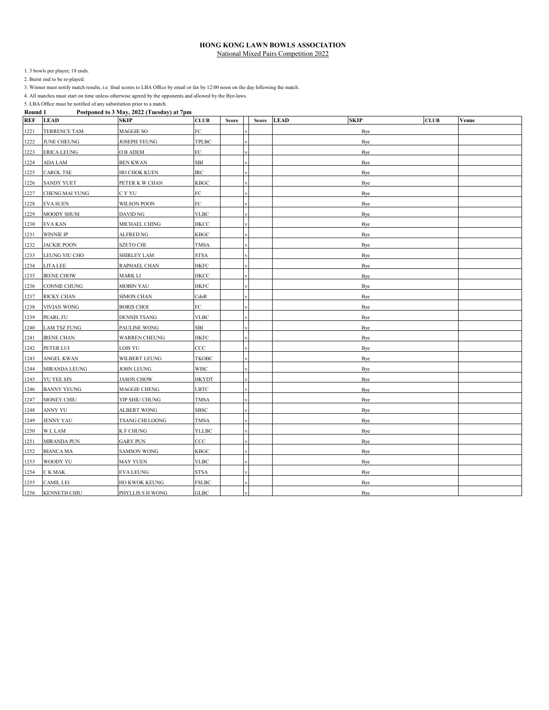1. 3 bowls per player; 18 ends.

2. Burnt end to be re-played.

3. Winner must notify match results, i.e. final scores to LBA Office by email or fax by 12:00 noon on the day following the match.

4. All matches must start on time unless otherwise agreed by the opponents and allowed by the Bye-laws.

| <b>REF</b> | <b>LEAD</b>         | <b>SKIP</b>          | <b>CLUB</b>  | Score | Score | <b>SKIP</b><br><b>LEAD</b> | <b>CLUB</b> | Venue |
|------------|---------------------|----------------------|--------------|-------|-------|----------------------------|-------------|-------|
| 1221       | TERRENCE TAM        | MAGGIE SO            | FC           |       |       | Bye                        |             |       |
| 1222       | <b>JUNE CHEUNG</b>  | <b>JOSEPH YEUNG</b>  | TPLBC        |       |       | Bye                        |             |       |
| 1223       | <b>ERICA LEUNG</b>  | O B ADEM             | FC           |       |       | Bye                        |             |       |
| 1224       | ADA LAM             | <b>BEN KWAN</b>      | SBI          |       |       | Bye                        |             |       |
| 1225       | <b>CAROL TSE</b>    | HO CHOK KUEN         | $_{\rm IRC}$ |       |       | Bye                        |             |       |
| 1226       | <b>SANDY YUET</b>   | PETER K W CHAN       | KBGC         |       |       | Bye                        |             |       |
| 1227       | CHENG MAI YUNG      | C Y YU               | FC           |       |       | Bye                        |             |       |
| 1228       | <b>EVA SUEN</b>     | WILSON POON          | FC           |       |       | Bye                        |             |       |
| 1229       | <b>MOODY SHUM</b>   | DAVID NG             | <b>VLBC</b>  |       |       | Bye                        |             |       |
| 1230       | <b>EVA KAN</b>      | MICHAEL CHING        | HKCC         |       |       | Bye                        |             |       |
| 1231       | <b>WINNIE IP</b>    | ALFRED NG            | KBGC         |       |       | Bye                        |             |       |
| 1232       | <b>JACKIE POON</b>  | SZETO CHI            | <b>TMSA</b>  |       |       | Bye                        |             |       |
| 1233       | LEUNG YIU CHO       | SHIRLEY LAM          | STSA         |       |       | Bye                        |             |       |
| 1234       | LITA LEE            | RAPHAEL CHAN         | <b>HKFC</b>  |       |       | Bye                        |             |       |
| 1235       | <b>IRENE CHOW</b>   | MARK LI              | <b>HKCC</b>  |       |       | Bye                        |             |       |
| 1236       | CONNIE CHUNG        | <b>MOBIN YAU</b>     | <b>HKFC</b>  |       |       | Bye                        |             |       |
| 1237       | RICKY CHAN          | SIMON CHAN           | CdeR         |       |       | Bye                        |             |       |
| 1238       | VIVIAN WONG         | <b>BORIS CHOI</b>    | FC           |       |       | Bye                        |             |       |
| 1239       | PEARL FU            | <b>DENNIS TSANG</b>  | <b>VLBC</b>  |       |       | Bye                        |             |       |
| 1240       | <b>LAM TSZ FUNG</b> | PAULINE WONG         | SBI          |       |       | Bye                        |             |       |
| 1241       | <b>IRENE CHAN</b>   | <b>WARREN CHEUNG</b> | <b>HKFC</b>  |       |       | Bye                        |             |       |
| 1242       | PETER LUI           | LOIS YU              | $_{\rm CCC}$ |       |       | Bye                        |             |       |
| 1243       | <b>ANGEL KWAN</b>   | WILBERT LEUNG        | ТКОВС        |       |       | Bye                        |             |       |
| 1244       | MIRANDA LEUNG       | JOHN LEUNG           | WISC         |       |       | Bye                        |             |       |
| 1245       | YU YEE SIN          | <b>JASON CHOW</b>    | <b>HKYDT</b> |       |       | Bye                        |             |       |
| 1246       | <b>BANNY YEUNG</b>  | MAGGIE CHENG         | LBTC         |       |       | <b>Bye</b>                 |             |       |
| 1247       | MONEY CHIU          | YIP SHIU CHUNG       | <b>TMSA</b>  |       |       | Bye                        |             |       |
| 1248       | ANNY YU             | ALBERT WONG          | SBSC         |       |       | <b>Bye</b>                 |             |       |
| 1249       | <b>JENNY YAU</b>    | TSANG CHI LOONG      | TMSA         |       |       | Bye                        |             |       |
| 1250       | $\mathbbm{W}$ L LAM | K F CHUNG            | YLLBC        |       |       | Bye                        |             |       |
| 1251       | <b>MIRANDA PUN</b>  | <b>GARY PUN</b>      | ccc          |       |       | Bye                        |             |       |
| 1252       | <b>BIANCA MA</b>    | <b>SAMSON WONG</b>   | <b>KBGC</b>  |       |       | Bye                        |             |       |
| 1253       | WOODY YU            | <b>MAY YUEN</b>      | <b>VLBC</b>  |       |       | Bye                        |             |       |
| 1254       | C K MAK             | <b>EVA LEUNG</b>     | <b>STSA</b>  |       |       | Bye                        |             |       |
| 1255       | CAMIL LEI           | HO KWOK KEUNG        | <b>FSLBC</b> |       |       | Bye                        |             |       |
| 1256       | <b>KENNETH CHIU</b> | PHYLLIS S H WONG     | <b>GLBC</b>  |       |       | Bye                        |             |       |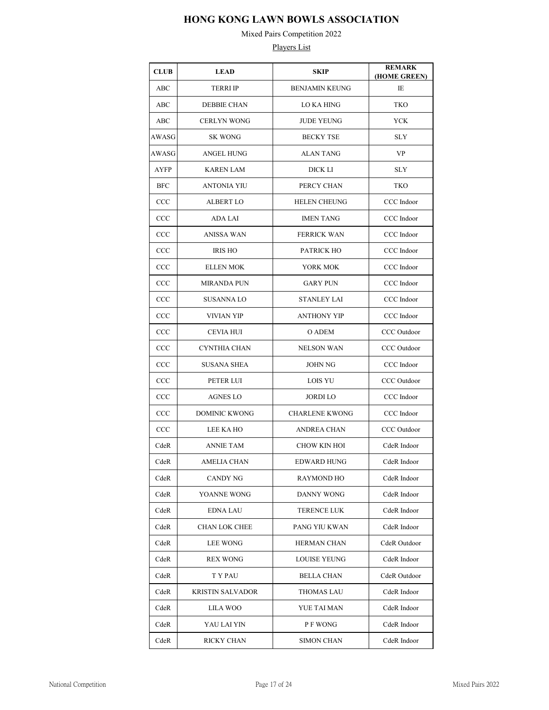Mixed Pairs Competition 2022

| <b>CLUB</b>  | <b>LEAD</b>             | <b>SKIP</b>           | <b>REMARK</b><br>(HOME GREEN) |
|--------------|-------------------------|-----------------------|-------------------------------|
| ABC          | <b>TERRI IP</b>         | <b>BENJAMIN KEUNG</b> | IE                            |
| ABC          | <b>DEBBIE CHAN</b>      | LO KA HING            | TKO                           |
| ABC          | <b>CERLYN WONG</b>      | <b>JUDE YEUNG</b>     | YCK                           |
| AWASG        | <b>SK WONG</b>          | <b>BECKY TSE</b>      | <b>SLY</b>                    |
| AWASG        | <b>ANGEL HUNG</b>       | <b>ALAN TANG</b>      | VP                            |
| AYFP         | KAREN LAM               | DICK LI               | SLY                           |
| <b>BFC</b>   | ANTONIA YIU             | PERCY CHAN            | TKO                           |
| CCC          | <b>ALBERT LO</b>        | <b>HELEN CHEUNG</b>   | CCC Indoor                    |
| CCC          | ADA LAI                 | <b>IMEN TANG</b>      | CCC Indoor                    |
| CCC          | <b>ANISSA WAN</b>       | <b>FERRICK WAN</b>    | CCC Indoor                    |
| CCC          | <b>IRIS HO</b>          | PATRICK HO            | CCC Indoor                    |
| CCC          | <b>ELLEN MOK</b>        | YORK MOK              | CCC Indoor                    |
| CCC          | <b>MIRANDA PUN</b>      | <b>GARY PUN</b>       | CCC Indoor                    |
| $_{\rm CCC}$ | <b>SUSANNALO</b>        | <b>STANLEY LAI</b>    | CCC Indoor                    |
| CCC          | <b>VIVIAN YIP</b>       | <b>ANTHONY YIP</b>    | CCC Indoor                    |
| $_{\rm CCC}$ | CEVIA HUI               | O ADEM                | CCC Outdoor                   |
| CCC          | CYNTHIA CHAN            | <b>NELSON WAN</b>     | CCC Outdoor                   |
| $_{\rm CCC}$ | SUSANA SHEA             | <b>JOHN NG</b>        | CCC Indoor                    |
| CCC          | PETER LUI               | LOIS YU               | CCC Outdoor                   |
| CCC          | <b>AGNES LO</b>         | JORDI LO              | CCC Indoor                    |
| CCC          | <b>DOMINIC KWONG</b>    | <b>CHARLENE KWONG</b> | CCC Indoor                    |
| CCC          | LEE KA HO               | <b>ANDREA CHAN</b>    | CCC Outdoor                   |
| CdeR         | <b>ANNIE TAM</b>        | CHOW KIN HOI          | CdeR Indoor                   |
| CdeR         | AMELIA CHAN             | EDWARD HUNG           | CdeR Indoor                   |
| CdeR         | CANDY NG                | RAYMOND HO            | CdeR Indoor                   |
| CdeR         | YOANNE WONG             | DANNY WONG            | CdeR Indoor                   |
| CdeR         | <b>EDNA LAU</b>         | TERENCE LUK           | CdeR Indoor                   |
| CdeR         | <b>CHAN LOK CHEE</b>    | PANG YIU KWAN         | CdeR Indoor                   |
| CdeR         | <b>LEE WONG</b>         | HERMAN CHAN           | CdeR Outdoor                  |
| CdeR         | <b>REX WONG</b>         | <b>LOUISE YEUNG</b>   | CdeR Indoor                   |
| CdeR         | T Y PAU                 | <b>BELLA CHAN</b>     | CdeR Outdoor                  |
| CdeR         | <b>KRISTIN SALVADOR</b> | THOMAS LAU            | CdeR Indoor                   |
| CdeR         | LILA WOO                | YUE TAI MAN           | CdeR Indoor                   |
| CdeR         | YAU LAI YIN             | P F WONG              | CdeR Indoor                   |
| CdeR         | RICKY CHAN              | SIMON CHAN            | CdeR Indoor                   |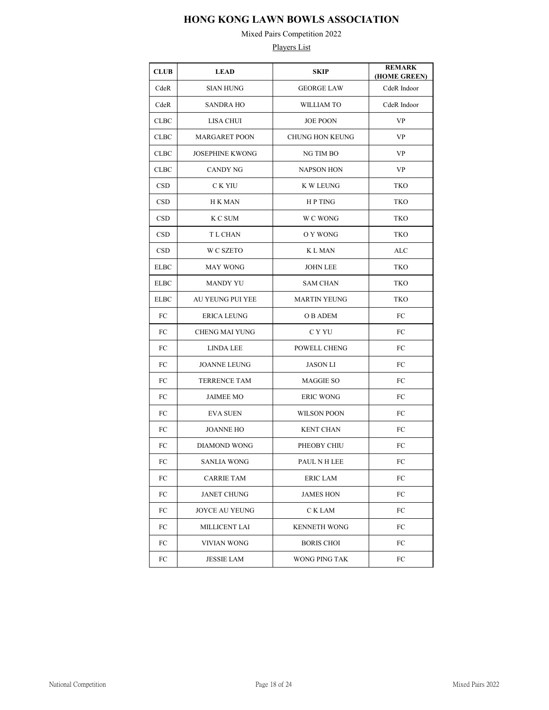Mixed Pairs Competition 2022

| <b>CLUB</b> | <b>LEAD</b>             | <b>SKIP</b>            | <b>REMARK</b><br>(HOME GREEN) |
|-------------|-------------------------|------------------------|-------------------------------|
| CdeR        | <b>SIAN HUNG</b>        | <b>GEORGE LAW</b>      | CdeR Indoor                   |
| CdeR        | <b>SANDRA HO</b>        | <b>WILLIAM TO</b>      | CdeR Indoor                   |
| <b>CLBC</b> | <b>LISA CHUI</b>        | <b>JOE POON</b>        | <b>VP</b>                     |
| <b>CLBC</b> | <b>MARGARET POON</b>    | <b>CHUNG HON KEUNG</b> | <b>VP</b>                     |
| <b>CLBC</b> | <b>JOSEPHINE KWONG</b>  | NG TIM BO              | <b>VP</b>                     |
| CLBC        | <b>CANDY NG</b>         | <b>NAPSON HON</b>      | <b>VP</b>                     |
| <b>CSD</b>  | C K YIU                 | <b>K W LEUNG</b>       | TKO                           |
| <b>CSD</b>  | H K MAN                 | HP TING                | TKO                           |
| <b>CSD</b>  | K C SUM                 | W C WONG               | TKO                           |
| <b>CSD</b>  | T L CHAN                | O Y WONG               | TKO                           |
| <b>CSD</b>  | W C SZETO               | K L MAN                | <b>ALC</b>                    |
| <b>ELBC</b> | <b>MAY WONG</b>         | <b>JOHN LEE</b>        | <b>TKO</b>                    |
| <b>ELBC</b> | <b>MANDY YU</b>         | <b>SAM CHAN</b>        | <b>TKO</b>                    |
| <b>ELBC</b> | <b>AU YEUNG PUI YEE</b> | <b>MARTIN YEUNG</b>    | TKO                           |
| FC          | <b>ERICA LEUNG</b>      | O B ADEM               | FC                            |
| FC          | <b>CHENG MAI YUNG</b>   | C Y YU                 | FC                            |
| FC          | <b>LINDA LEE</b>        | POWELL CHENG           | FC                            |
| FC          | <b>JOANNE LEUNG</b>     | <b>JASON LI</b>        | FC                            |
| FC          | <b>TERRENCE TAM</b>     | <b>MAGGIE SO</b>       | FC                            |
| FC          | <b>JAIMEE MO</b>        | <b>ERIC WONG</b>       | FC                            |
| FC          | <b>EVA SUEN</b>         | <b>WILSON POON</b>     | FC                            |
| FC          | <b>JOANNE HO</b>        | <b>KENT CHAN</b>       | FC                            |
| FC          | <b>DIAMOND WONG</b>     | PHEOBY CHIU            | FC                            |
| FC          | SANLIA WONG             | PAUL N H LEE           | FC                            |
| FC          | CARRIE TAM              | ERIC LAM               | FC                            |
| FC          | <b>JANET CHUNG</b>      | <b>JAMES HON</b>       | FC                            |
| FC          | JOYCE AU YEUNG          | C K LAM                | FC                            |
| FC          | MILLICENT LAI           | <b>KENNETH WONG</b>    | FC                            |
| FC          | VIVIAN WONG             | <b>BORIS CHOI</b>      | FC                            |
| FC          | JESSIE LAM              | WONG PING TAK          | FC                            |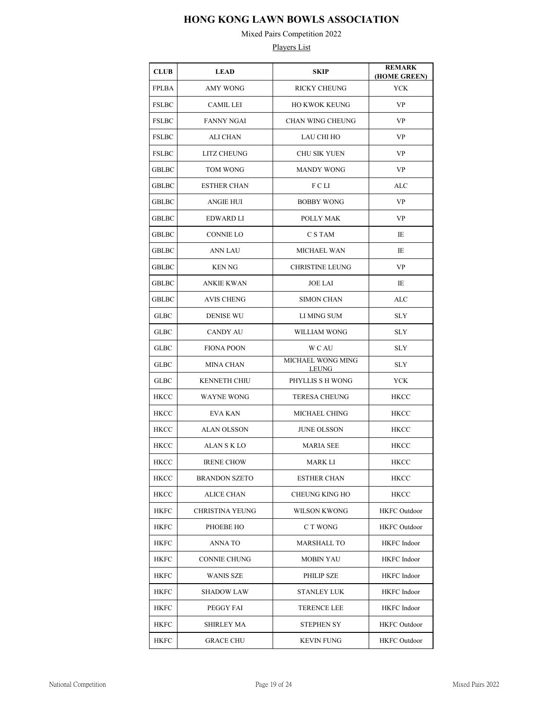Mixed Pairs Competition 2022

| <b>CLUB</b>  | <b>LEAD</b>          | <b>SKIP</b>                | <b>REMARK</b><br>(HOME GREEN) |
|--------------|----------------------|----------------------------|-------------------------------|
| <b>FPLBA</b> | <b>AMY WONG</b>      | <b>RICKY CHEUNG</b>        | <b>YCK</b>                    |
| <b>FSLBC</b> | <b>CAMIL LEI</b>     | <b>HO KWOK KEUNG</b>       | VP                            |
| <b>FSLBC</b> | <b>FANNY NGAI</b>    | CHAN WING CHEUNG           | VP                            |
| <b>FSLBC</b> | ALI CHAN             | LAU CHI HO                 | <b>VP</b>                     |
| <b>FSLBC</b> | <b>LITZ CHEUNG</b>   | <b>CHU SIK YUEN</b>        | <b>VP</b>                     |
| GBLBC        | <b>TOM WONG</b>      | <b>MANDY WONG</b>          | <b>VP</b>                     |
| <b>GBLBC</b> | <b>ESTHER CHAN</b>   | FCLI                       | ALC                           |
| <b>GBLBC</b> | ANGIE HUI            | <b>BOBBY WONG</b>          | VP                            |
| GBLBC        | EDWARD LI            | POLLY MAK                  | VP                            |
| <b>GBLBC</b> | <b>CONNIE LO</b>     | C S TAM                    | IE                            |
| <b>GBLBC</b> | ANN LAU              | MICHAEL WAN                | IE                            |
| <b>GBLBC</b> | <b>KEN NG</b>        | <b>CHRISTINE LEUNG</b>     | VP                            |
| GBLBC        | <b>ANKIE KWAN</b>    | <b>JOE LAI</b>             | IE                            |
| <b>GBLBC</b> | <b>AVIS CHENG</b>    | <b>SIMON CHAN</b>          | ALC                           |
| <b>GLBC</b>  | <b>DENISE WU</b>     | LI MING SUM                | <b>SLY</b>                    |
| <b>GLBC</b>  | <b>CANDY AU</b>      | WILLIAM WONG               | <b>SLY</b>                    |
| <b>GLBC</b>  | <b>FIONA POON</b>    | <b>WCAU</b>                | <b>SLY</b>                    |
| <b>GLBC</b>  | <b>MINA CHAN</b>     | MICHAEL WONG MING<br>LEUNG | SLY                           |
| <b>GLBC</b>  | <b>KENNETH CHIU</b>  | PHYLLIS S H WONG           | YCK                           |
| HKCC         | <b>WAYNE WONG</b>    | <b>TERESA CHEUNG</b>       | <b>HKCC</b>                   |
| <b>HKCC</b>  | <b>EVA KAN</b>       | MICHAEL CHING              | HKCC                          |
| HKCC         | <b>ALAN OLSSON</b>   | <b>JUNE OLSSON</b>         | <b>HKCC</b>                   |
| <b>HKCC</b>  | ALAN S K LO          | <b>MARIA SEE</b>           | <b>HKCC</b>                   |
| HKCC         | <b>IRENE CHOW</b>    | MARK LI                    | HKCC                          |
| HKCC         | <b>BRANDON SZETO</b> | <b>ESTHER CHAN</b>         | HKCC                          |
| <b>HKCC</b>  | <b>ALICE CHAN</b>    | <b>CHEUNG KING HO</b>      | HKCC                          |
| <b>HKFC</b>  | CHRISTINA YEUNG      | <b>WILSON KWONG</b>        | <b>HKFC</b> Outdoor           |
| <b>HKFC</b>  | PHOEBE HO            | C T WONG                   | <b>HKFC</b> Outdoor           |
| <b>HKFC</b>  | ANNA TO              | MARSHALL TO                | <b>HKFC</b> Indoor            |
| <b>HKFC</b>  | <b>CONNIE CHUNG</b>  | <b>MOBIN YAU</b>           | <b>HKFC</b> Indoor            |
| <b>HKFC</b>  | WANIS SZE            | PHILIP SZE                 | <b>HKFC</b> Indoor            |
| <b>HKFC</b>  | <b>SHADOW LAW</b>    | STANLEY LUK                | <b>HKFC</b> Indoor            |
| <b>HKFC</b>  | PEGGY FAI            | TERENCE LEE                | <b>HKFC</b> Indoor            |
| <b>HKFC</b>  | SHIRLEY MA           | <b>STEPHEN SY</b>          | <b>HKFC</b> Outdoor           |
| HKFC         | <b>GRACE CHU</b>     | <b>KEVIN FUNG</b>          | <b>HKFC</b> Outdoor           |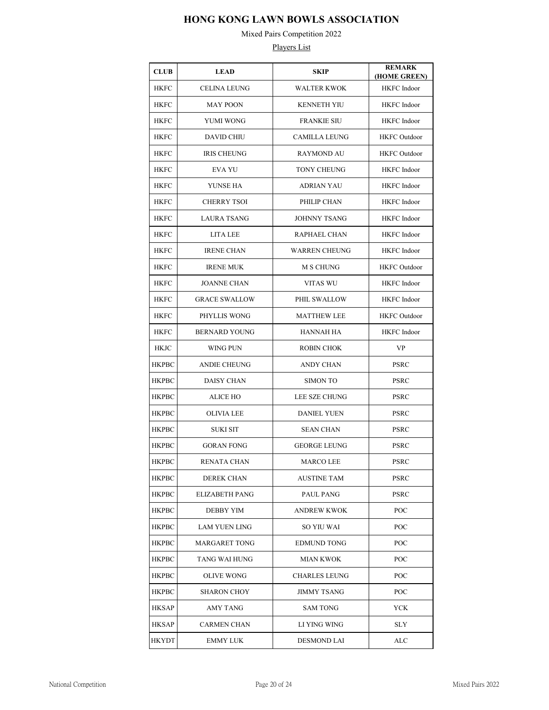Mixed Pairs Competition 2022

| <b>CLUB</b>  | <b>LEAD</b>           | SKIP                 | <b>REMARK</b><br>(HOME GREEN) |
|--------------|-----------------------|----------------------|-------------------------------|
| <b>HKFC</b>  | <b>CELINA LEUNG</b>   | <b>WALTER KWOK</b>   | <b>HKFC</b> Indoor            |
| <b>HKFC</b>  | <b>MAY POON</b>       | <b>KENNETH YIU</b>   | HKFC Indoor                   |
| <b>HKFC</b>  | YUMI WONG             | <b>FRANKIE SIU</b>   | HKFC Indoor                   |
| <b>HKFC</b>  | <b>DAVID CHIU</b>     | <b>CAMILLA LEUNG</b> | <b>HKFC</b> Outdoor           |
| <b>HKFC</b>  | <b>IRIS CHEUNG</b>    | <b>RAYMOND AU</b>    | <b>HKFC</b> Outdoor           |
| <b>HKFC</b>  | <b>EVA YU</b>         | <b>TONY CHEUNG</b>   | HKFC Indoor                   |
| <b>HKFC</b>  | YUNSE HA              | <b>ADRIAN YAU</b>    | <b>HKFC</b> Indoor            |
| <b>HKFC</b>  | <b>CHERRY TSOI</b>    | PHILIP CHAN          | <b>HKFC</b> Indoor            |
| <b>HKFC</b>  | <b>LAURA TSANG</b>    | <b>JOHNNY TSANG</b>  | HKFC Indoor                   |
| <b>HKFC</b>  | LITA LEE              | RAPHAEL CHAN         | HKFC Indoor                   |
| <b>HKFC</b>  | <b>IRENE CHAN</b>     | <b>WARREN CHEUNG</b> | HKFC Indoor                   |
| <b>HKFC</b>  | <b>IRENE MUK</b>      | <b>M S CHUNG</b>     | <b>HKFC</b> Outdoor           |
| <b>HKFC</b>  | <b>JOANNE CHAN</b>    | VITAS WU             | HKFC Indoor                   |
| <b>HKFC</b>  | <b>GRACE SWALLOW</b>  | PHIL SWALLOW         | HKFC Indoor                   |
| <b>HKFC</b>  | PHYLLIS WONG          | <b>MATTHEW LEE</b>   | <b>HKFC</b> Outdoor           |
| <b>HKFC</b>  | <b>BERNARD YOUNG</b>  | HANNAH HA            | HKFC Indoor                   |
| HKJC         | WING PUN              | <b>ROBIN CHOK</b>    | <b>VP</b>                     |
| <b>HKPBC</b> | <b>ANDIE CHEUNG</b>   | ANDY CHAN            | <b>PSRC</b>                   |
| <b>HKPBC</b> | <b>DAISY CHAN</b>     | <b>SIMON TO</b>      | PSRC                          |
| HKPBC        | ALICE HO              | LEE SZE CHUNG        | <b>PSRC</b>                   |
| HKPBC        | OLIVIA LEE            | <b>DANIEL YUEN</b>   | <b>PSRC</b>                   |
| <b>HKPBC</b> | <b>SUKI SIT</b>       | <b>SEAN CHAN</b>     | <b>PSRC</b>                   |
| <b>HKPBC</b> | <b>GORAN FONG</b>     | <b>GEORGE LEUNG</b>  | <b>PSRC</b>                   |
| <b>HKPBC</b> | RENATA CHAN           | MARCO LEE            | <b>PSRC</b>                   |
| НКРВС        | <b>DEREK CHAN</b>     | <b>AUSTINE TAM</b>   | <b>PSRC</b>                   |
| <b>HKPBC</b> | <b>ELIZABETH PANG</b> | PAUL PANG            | <b>PSRC</b>                   |
| <b>HKPBC</b> | <b>DEBBY YIM</b>      | <b>ANDREW KWOK</b>   | POC                           |
| <b>HKPBC</b> | <b>LAM YUEN LING</b>  | SO YIU WAI           | POC                           |
| <b>HKPBC</b> | MARGARET TONG         | <b>EDMUND TONG</b>   | POC                           |
| <b>HKPBC</b> | TANG WAI HUNG         | <b>MIAN KWOK</b>     | POC                           |
| <b>HKPBC</b> | <b>OLIVE WONG</b>     | <b>CHARLES LEUNG</b> | POC                           |
| <b>HKPBC</b> | <b>SHARON CHOY</b>    | <b>JIMMY TSANG</b>   | POC                           |
| HKSAP        | AMY TANG              | <b>SAM TONG</b>      | YCK                           |
| HKSAP        | <b>CARMEN CHAN</b>    | LI YING WING         | <b>SLY</b>                    |
| HKYDT        | EMMY LUK              | DESMOND LAI          | ALC                           |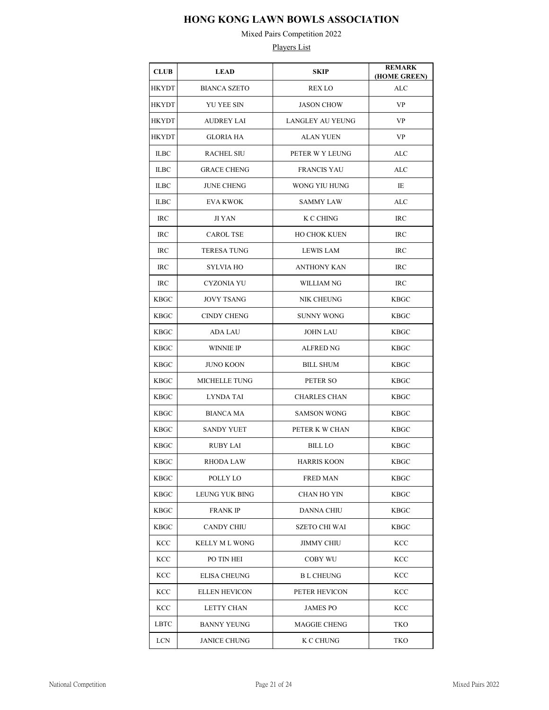Mixed Pairs Competition 2022

| <b>CLUB</b> | <b>LEAD</b>           | SKIP                    | <b>REMARK</b><br>(HOME GREEN) |
|-------------|-----------------------|-------------------------|-------------------------------|
| HKYDT       | <b>BIANCA SZETO</b>   | <b>REX LO</b>           | ALC                           |
| HKYDT       | YU YEE SIN            | <b>JASON CHOW</b>       | VP                            |
| HKYDT       | <b>AUDREY LAI</b>     | <b>LANGLEY AU YEUNG</b> | VP                            |
| HKYDT       | <b>GLORIA HA</b>      | <b>ALAN YUEN</b>        | VP                            |
| <b>ILBC</b> | <b>RACHEL SIU</b>     | PETER W Y LEUNG         | ALC                           |
| <b>ILBC</b> | <b>GRACE CHENG</b>    | <b>FRANCIS YAU</b>      | ALC                           |
| <b>ILBC</b> | <b>JUNE CHENG</b>     | WONG YIU HUNG           | IE                            |
| <b>ILBC</b> | <b>EVA KWOK</b>       | SAMMY LAW               | ALC                           |
| <b>IRC</b>  | JI YAN                | K C CHING               | IRC                           |
| IRC         | <b>CAROL TSE</b>      | <b>HO CHOK KUEN</b>     | IRC                           |
| <b>IRC</b>  | <b>TERESA TUNG</b>    | LEWIS LAM               | <b>IRC</b>                    |
| <b>IRC</b>  | <b>SYLVIA HO</b>      | <b>ANTHONY KAN</b>      | IRC                           |
| <b>IRC</b>  | CYZONIA YU            | WILLIAM NG              | <b>IRC</b>                    |
| <b>KBGC</b> | <b>JOVY TSANG</b>     | NIK CHEUNG              | <b>KBGC</b>                   |
| <b>KBGC</b> | <b>CINDY CHENG</b>    | <b>SUNNY WONG</b>       | KBGC                          |
| <b>KBGC</b> | ADA LAU               | <b>JOHN LAU</b>         | KBGC                          |
| KBGC        | <b>WINNIE IP</b>      | ALFRED NG               | KBGC                          |
| <b>KBGC</b> | <b>JUNO KOON</b>      | <b>BILL SHUM</b>        | KBGC                          |
| KBGC        | <b>MICHELLE TUNG</b>  | PETER SO                | KBGC                          |
| KBGC        | LYNDA TAI             | <b>CHARLES CHAN</b>     | KBGC                          |
| KBGC        | <b>BIANCA MA</b>      | <b>SAMSON WONG</b>      | <b>KBGC</b>                   |
| KBGC        | <b>SANDY YUET</b>     | PETER K W CHAN          | <b>KBGC</b>                   |
| KBGC        | <b>RUBY LAI</b>       | <b>BILL LO</b>          | <b>KBGC</b>                   |
| KBGC        | RHODA LAW             | HARRIS KOON             | <b>KBGC</b>                   |
| <b>KBGC</b> | POLLY LO              | <b>FRED MAN</b>         | <b>KBGC</b>                   |
| KBGC        | LEUNG YUK BING        | CHAN HO YIN             | <b>KBGC</b>                   |
| KBGC        | <b>FRANK IP</b>       | DANNA CHIU              | <b>KBGC</b>                   |
| KBGC        | <b>CANDY CHIU</b>     | <b>SZETO CHI WAI</b>    | <b>KBGC</b>                   |
| KCC         | <b>KELLY M L WONG</b> | <b>JIMMY CHIU</b>       | <b>KCC</b>                    |
| KCC         | PO TIN HEI            | COBY WU                 | KCC                           |
| KCC         | <b>ELISA CHEUNG</b>   | <b>B L CHEUNG</b>       | KCC                           |
| KCC         | <b>ELLEN HEVICON</b>  | PETER HEVICON           | KCC                           |
| KCC         | LETTY CHAN            | <b>JAMES PO</b>         | KCC                           |
| LBTC        | <b>BANNY YEUNG</b>    | <b>MAGGIE CHENG</b>     | TKO                           |
| LCN         | <b>JANICE CHUNG</b>   | K C CHUNG               | TKO                           |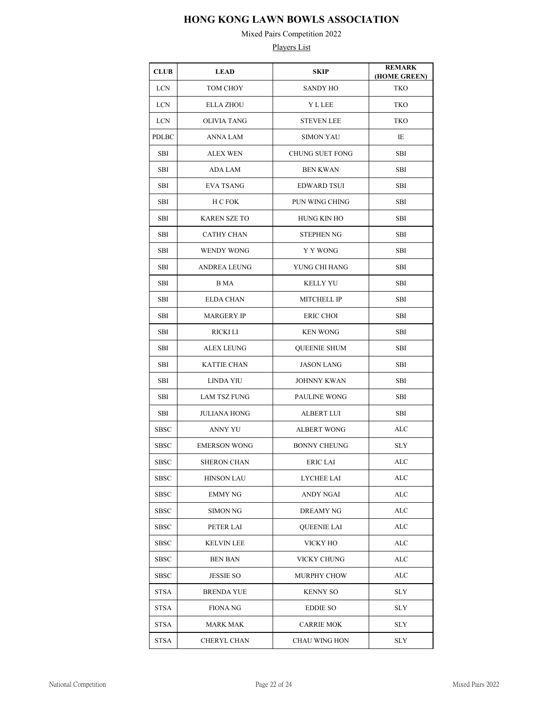Mixed Pairs Competition 2022

| <b>CLUB</b>  | <b>LEAD</b>         | SKIP                   | <b>REMARK</b><br>(HOME GREEN) |
|--------------|---------------------|------------------------|-------------------------------|
| <b>LCN</b>   | TOM CHOY            | <b>SANDY HO</b>        | <b>TKO</b>                    |
| <b>LCN</b>   | <b>ELLA ZHOU</b>    | <b>Y L LEE</b>         | TKO                           |
| <b>LCN</b>   | <b>OLIVIA TANG</b>  | <b>STEVEN LEE</b>      | TKO                           |
| <b>PDLBC</b> | <b>ANNA LAM</b>     | <b>SIMON YAU</b>       | IE                            |
| SBI          | <b>ALEX WEN</b>     | <b>CHUNG SUET FONG</b> | SBI                           |
| SBI          | <b>ADA LAM</b>      | <b>BEN KWAN</b>        | SBI                           |
| SBI          | <b>EVA TSANG</b>    | <b>EDWARD TSUI</b>     | SBI                           |
| SBI          | H C FOK             | PUN WING CHING         | SBI                           |
| SBI          | <b>KAREN SZE TO</b> | HUNG KIN HO            | SBI                           |
| SBI          | <b>CATHY CHAN</b>   | <b>STEPHEN NG</b>      | SBI                           |
| SBI          | <b>WENDY WONG</b>   | Y Y WONG               | SBI                           |
| SBI          | ANDREA LEUNG        | YUNG CHI HANG          | SBI                           |
| SBI          | B MA                | <b>KELLY YU</b>        | <b>SBI</b>                    |
| SBI          | <b>ELDA CHAN</b>    | <b>MITCHELL IP</b>     | SBI                           |
| SBI          | <b>MARGERY IP</b>   | <b>ERIC CHOI</b>       | SBI                           |
| SBI          | RICKI LI            | <b>KEN WONG</b>        | SBI                           |
| SBI          | <b>ALEX LEUNG</b>   | <b>QUEENIE SHUM</b>    | SBI                           |
| SBI          | <b>KATTIE CHAN</b>  | <b>JASON LANG</b>      | SBI                           |
| SBI          | <b>LINDA YIU</b>    | <b>JOHNNY KWAN</b>     | SBI                           |
| SBI          | <b>LAM TSZ FUNG</b> | PAULINE WONG           | SBI                           |
| SBI          | JULIANA HONG        | ALBERT LUI             | SBI                           |
| SBSC         | <b>ANNY YU</b>      | <b>ALBERT WONG</b>     | ALC                           |
| <b>SBSC</b>  | <b>EMERSON WONG</b> | <b>BONNY CHEUNG</b>    | <b>SLY</b>                    |
| SBSC         | SHERON CHAN         | ERIC LAI               | ALC                           |
| SBSC         | <b>HINSON LAU</b>   | <b>LYCHEE LAI</b>      | ALC                           |
| <b>SBSC</b>  | <b>EMMY NG</b>      | <b>ANDY NGAI</b>       | ALC                           |
| SBSC         | SIMON NG            | DREAMY NG              | ALC                           |
| SBSC         | PETER LAI           | <b>QUEENIE LAI</b>     | ALC                           |
| SBSC         | <b>KELVIN LEE</b>   | VICKY HO               | ALC                           |
| <b>SBSC</b>  | <b>BEN BAN</b>      | VICKY CHUNG            | ALC                           |
| SBSC         | <b>JESSIE SO</b>    | MURPHY CHOW            | ALC                           |
| STSA         | <b>BRENDA YUE</b>   | <b>KENNY SO</b>        | SLY                           |
| STSA         | FIONA NG            | <b>EDDIE SO</b>        | SLY                           |
| STSA         | MARK MAK            | <b>CARRIE MOK</b>      | SLY                           |
| STSA         | CHERYL CHAN         | CHAU WING HON          | SLY                           |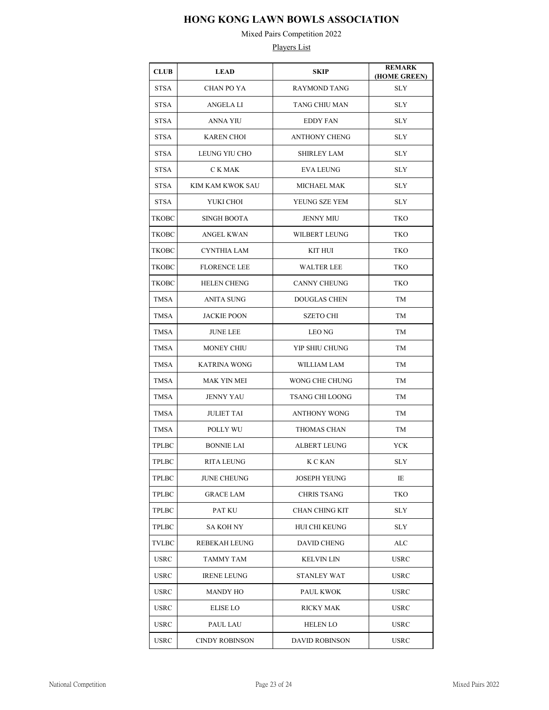Mixed Pairs Competition 2022

| <b>CLUB</b>                   | <b>LEAD</b>           | <b>SKIP</b>           | <b>REMARK</b><br>(HOME GREEN) |
|-------------------------------|-----------------------|-----------------------|-------------------------------|
| STSA                          | <b>CHAN PO YA</b>     | <b>RAYMOND TANG</b>   | <b>SLY</b>                    |
| STSA                          | <b>ANGELA LI</b>      | TANG CHIU MAN         | <b>SLY</b>                    |
| STSA                          | ANNA YIU              | <b>EDDY FAN</b>       | <b>SLY</b>                    |
| <b>STSA</b>                   | <b>KAREN CHOI</b>     | <b>ANTHONY CHENG</b>  | <b>SLY</b>                    |
| STSA                          | LEUNG YIU CHO         | SHIRLEY LAM           | <b>SLY</b>                    |
| <b>STSA</b>                   | C K MAK               | EVA LEUNG             | SLY                           |
| STSA                          | KIM KAM KWOK SAU      | MICHAEL MAK           | <b>SLY</b>                    |
| <b>STSA</b>                   | YUKI CHOI             | YEUNG SZE YEM         | <b>SLY</b>                    |
| ТКОВС                         | <b>SINGH BOOTA</b>    | <b>JENNY MIU</b>      | TKO                           |
| TKOBC                         | <b>ANGEL KWAN</b>     | WILBERT LEUNG         | TKO                           |
| TKOBC                         | CYNTHIA LAM           | KIT HUI               | TKO                           |
| ТКОВС                         | <b>FLORENCE LEE</b>   | <b>WALTER LEE</b>     | TKO                           |
| TKOBC                         | <b>HELEN CHENG</b>    | CANNY CHEUNG          | TKO                           |
| TMSA                          | ANITA SUNG            | <b>DOUGLAS CHEN</b>   | TM                            |
| <b>TMSA</b>                   | <b>JACKIE POON</b>    | <b>SZETO CHI</b>      | TM                            |
| TMSA                          | <b>JUNE LEE</b>       | LEO NG                | TМ                            |
| TMSA                          | MONEY CHIU            | YIP SHIU CHUNG        | TМ                            |
| TMSA                          | <b>KATRINA WONG</b>   | WILLIAM LAM           | TМ                            |
| TMSA                          | MAK YIN MEI           | WONG CHE CHUNG        | TМ                            |
| TMSA                          | <b>JENNY YAU</b>      | TSANG CHI LOONG       | TM                            |
| TMSA                          | <b>JULIET TAI</b>     | ANTHONY WONG          | TM                            |
| TMSA                          | POLLY WU              | THOMAS CHAN           | TM                            |
| <b>TPLBC</b>                  | <b>BONNIE LAI</b>     | <b>ALBERT LEUNG</b>   | <b>YCK</b>                    |
| $\ensuremath{\mathsf{TPLBC}}$ | <b>RITA LEUNG</b>     | K C KAN               | $\rm SLY$                     |
| <b>TPLBC</b>                  | JUNE CHEUNG           | <b>JOSEPH YEUNG</b>   | IE                            |
| TPLBC                         | <b>GRACE LAM</b>      | <b>CHRIS TSANG</b>    | <b>TKO</b>                    |
| TPLBC                         | PAT KU                | CHAN CHING KIT        | <b>SLY</b>                    |
| TPLBC                         | SA KOH NY             | HUI CHI KEUNG         | <b>SLY</b>                    |
| TVLBC                         | REBEKAH LEUNG         | DAVID CHENG           | ALC                           |
| <b>USRC</b>                   | <b>TAMMY TAM</b>      | <b>KELVIN LIN</b>     | USRC                          |
| USRC                          | <b>IRENE LEUNG</b>    | <b>STANLEY WAT</b>    | USRC                          |
| <b>USRC</b>                   | <b>MANDY HO</b>       | <b>PAUL KWOK</b>      | <b>USRC</b>                   |
| <b>USRC</b>                   | <b>ELISE LO</b>       | <b>RICKY MAK</b>      | USRC                          |
| <b>USRC</b>                   | PAUL LAU              | <b>HELEN LO</b>       | <b>USRC</b>                   |
| USRC                          | <b>CINDY ROBINSON</b> | <b>DAVID ROBINSON</b> | USRC                          |